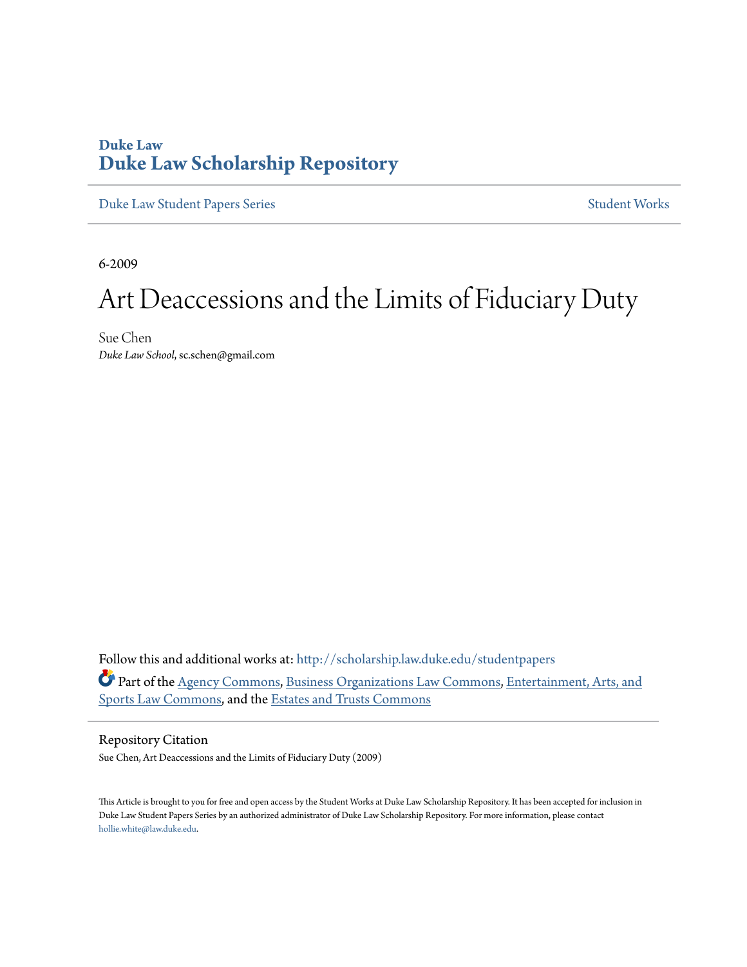# **Duke Law [Duke Law Scholarship Repository](http://scholarship.law.duke.edu?utm_source=scholarship.law.duke.edu%2Fstudentpapers%2F1&utm_medium=PDF&utm_campaign=PDFCoverPages)**

[Duke Law Student Papers Series](http://scholarship.law.duke.edu/studentpapers?utm_source=scholarship.law.duke.edu%2Fstudentpapers%2F1&utm_medium=PDF&utm_campaign=PDFCoverPages) [Student Works](http://scholarship.law.duke.edu/student_works?utm_source=scholarship.law.duke.edu%2Fstudentpapers%2F1&utm_medium=PDF&utm_campaign=PDFCoverPages)

6-2009

# Art Deaccessions and the Limits of Fiduciary Duty

Sue Chen *Duke Law School*, sc.schen@gmail.com

Follow this and additional works at: [http://scholarship.law.duke.edu/studentpapers](http://scholarship.law.duke.edu/studentpapers?utm_source=scholarship.law.duke.edu%2Fstudentpapers%2F1&utm_medium=PDF&utm_campaign=PDFCoverPages) Part of the [Agency Commons,](http://network.bepress.com/hgg/discipline/829?utm_source=scholarship.law.duke.edu%2Fstudentpapers%2F1&utm_medium=PDF&utm_campaign=PDFCoverPages) [Business Organizations Law Commons](http://network.bepress.com/hgg/discipline/900?utm_source=scholarship.law.duke.edu%2Fstudentpapers%2F1&utm_medium=PDF&utm_campaign=PDFCoverPages), [Entertainment, Arts, and](http://network.bepress.com/hgg/discipline/893?utm_source=scholarship.law.duke.edu%2Fstudentpapers%2F1&utm_medium=PDF&utm_campaign=PDFCoverPages) [Sports Law Commons,](http://network.bepress.com/hgg/discipline/893?utm_source=scholarship.law.duke.edu%2Fstudentpapers%2F1&utm_medium=PDF&utm_campaign=PDFCoverPages) and the [Estates and Trusts Commons](http://network.bepress.com/hgg/discipline/906?utm_source=scholarship.law.duke.edu%2Fstudentpapers%2F1&utm_medium=PDF&utm_campaign=PDFCoverPages)

#### Repository Citation

Sue Chen, Art Deaccessions and the Limits of Fiduciary Duty (2009)

This Article is brought to you for free and open access by the Student Works at Duke Law Scholarship Repository. It has been accepted for inclusion in Duke Law Student Papers Series by an authorized administrator of Duke Law Scholarship Repository. For more information, please contact [hollie.white@law.duke.edu](mailto:hollie.white@law.duke.edu).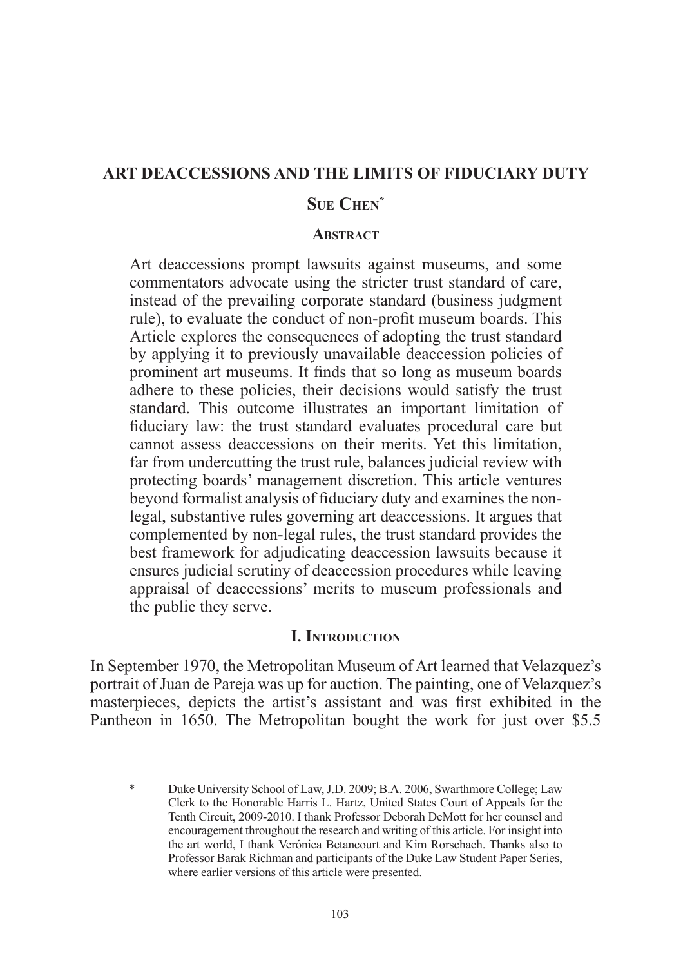#### **Art Deaccessions and the Limits of Fiduciary Duty**

## **Sue Chen\***

#### **Abstract**

Art deaccessions prompt lawsuits against museums, and some commentators advocate using the stricter trust standard of care, instead of the prevailing corporate standard (business judgment rule), to evaluate the conduct of non-profit museum boards. This Article explores the consequences of adopting the trust standard by applying it to previously unavailable deaccession policies of prominent art museums. It finds that so long as museum boards adhere to these policies, their decisions would satisfy the trust standard. This outcome illustrates an important limitation of fiduciary law: the trust standard evaluates procedural care but cannot assess deaccessions on their merits. Yet this limitation, far from undercutting the trust rule, balances judicial review with protecting boards' management discretion. This article ventures beyond formalist analysis of fiduciary duty and examines the nonlegal, substantive rules governing art deaccessions. It argues that complemented by non-legal rules, the trust standard provides the best framework for adjudicating deaccession lawsuits because it ensures judicial scrutiny of deaccession procedures while leaving appraisal of deaccessions' merits to museum professionals and the public they serve.

#### **I. Introduction**

In September 1970, the Metropolitan Museum of Art learned that Velazquez's portrait of Juan de Pareja was up for auction. The painting, one of Velazquez's masterpieces, depicts the artist's assistant and was first exhibited in the Pantheon in 1650. The Metropolitan bought the work for just over \$5.5

Duke University School of Law, J.D. 2009; B.A. 2006, Swarthmore College; Law Clerk to the Honorable Harris L. Hartz, United States Court of Appeals for the Tenth Circuit, 2009-2010. I thank Professor Deborah DeMott for her counsel and encouragement throughout the research and writing of this article. For insight into the art world, I thank Verónica Betancourt and Kim Rorschach. Thanks also to Professor Barak Richman and participants of the Duke Law Student Paper Series, where earlier versions of this article were presented.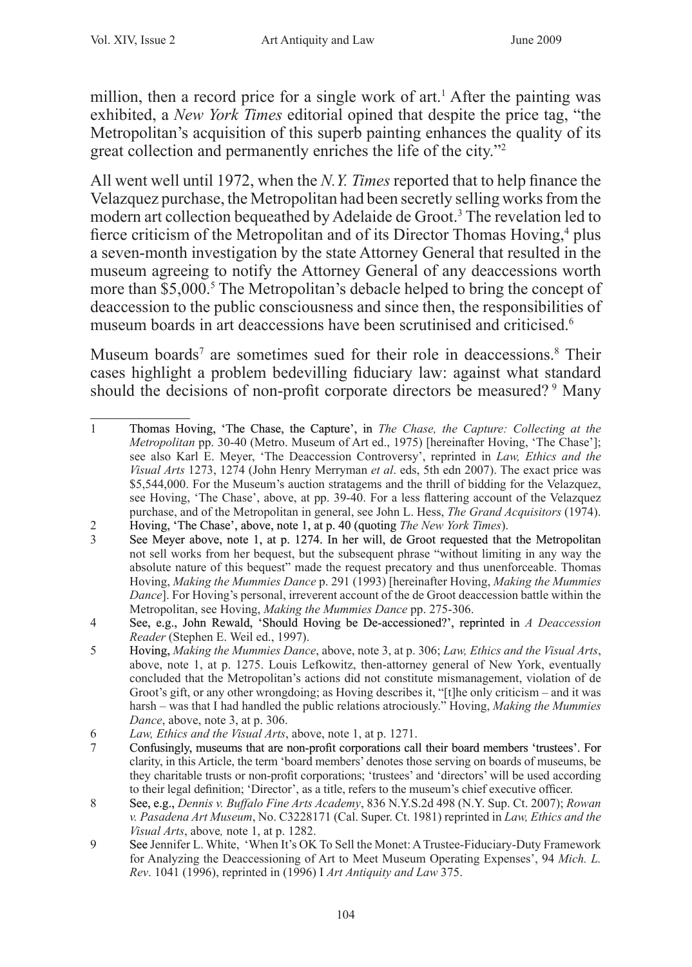million, then a record price for a single work of  $art<sup>1</sup>$ . After the painting was exhibited, a *New York Times* editorial opined that despite the price tag, "the Metropolitan's acquisition of this superb painting enhances the quality of its great collection and permanently enriches the life of the city."

All went well until 1972, when the *N.Y. Times* reported that to help finance the Velazquez purchase, the Metropolitan had been secretly selling works from the modern art collection bequeathed by Adelaide de Groot.<sup>3</sup> The revelation led to fierce criticism of the Metropolitan and of its Director Thomas Hoving,<sup>4</sup> plus a seven-month investigation by the state Attorney General that resulted in the museum agreeing to notify the Attorney General of any deaccessions worth more than \$5,000.<sup>5</sup> The Metropolitan's debacle helped to bring the concept of deaccession to the public consciousness and since then, the responsibilities of museum boards in art deaccessions have been scrutinised and criticised.<sup>6</sup>

Museum boards<sup>7</sup> are sometimes sued for their role in deaccessions.<sup>8</sup> Their cases highlight a problem bedevilling fiduciary law: against what standard should the decisions of non-profit corporate directors be measured?<sup>9</sup> Many

 $\mathbf{1}$ Thomas Hoving, �The Chase, the Capture', in *The Chase, the Capture: Collecting at the Metropolitan* pp. 30-40 (Metro. Museum of Art ed., 1975) [hereinafter Hoving, 'The Chase']; see also Karl E. Meyer, 'The Deaccession Controversy', reprinted in *Law, Ethics and the Visual Arts* 1273, 1274 (John Henry Merryman *et al*. eds, 5th edn 2007). The exact price was \$5,544,000. For the Museum's auction stratagems and the thrill of bidding for the Velazquez, see Hoving, 'The Chase', above, at pp. 39-40. For a less flattering account of the Velazquez purchase, and of the Metropolitan in general, see John L. Hess, *The Grand Acquisitors* (1974).

 $\overline{c}$ Hoving, �The Chase', above, note 1, at p. 40 (quoting *The New York Times*).

 $\overline{3}$ See Meyer above, note 1, at p. 1274. In her will, de Groot requested that the Metropolitan not sell works from her bequest, but the subsequent phrase "without limiting in any way the absolute nature of this bequest" made the request precatory and thus unenforceable. Thomas Hoving, *Making the Mummies Dance* p. 291 (1993) [hereinafter Hoving, *Making the Mummies Dance*]. For Hoving's personal, irreverent account of the de Groot deaccession battle within the Metropolitan, see Hoving, *Making the Mummies Dance* pp. 275-306.

See, e.g., John Rewald, 'Should Hoving be De-accessioned?', reprinted in *A Deaccession*  $\overline{4}$ *Reader* (Stephen E. Weil ed., 1997).

<sup>5</sup> Hoving, *Making the Mummies Dance*, above, note 3, at p. 306; *Law, Ethics and the Visual Arts*, above, note 1, at p. 1275. Louis Lefkowitz, then-attorney general of New York, eventually concluded that the Metropolitan's actions did not constitute mismanagement, violation of de Groot's gift, or any other wrongdoing; as Hoving describes it, "[t]he only criticism – and it was harsh – was that I had handled the public relations atrociously." Hoving, *Making the Mummies Dance*, above, note 3, at p. 306.

*Law, Ethics and the Visual Arts*, above, note 1, at p. 1271.<br><sup>7</sup> Confusingly, museums that are non-profit corporations cal

Confusingly, museums that are non-profit corporations call their board members 'trustees'. For clarity, in this Article, the term 'board members' denotes those serving on boards of museums, be they charitable trusts or non-profit corporations; 'trustees' and 'directors' will be used according to their legal definition; 'Director', as a title, refers to the museum's chief executive officer.

See, e.g., *Dennis v. Buffalo Fine Arts Academy*, 836 N.Y.S.2d 498 (N.Y. Sup. Ct. 2007); *Rowan v. Pasadena Art Museum*, No. C3228171 (Cal. Super. Ct. 1981) reprinted in *Law, Ethics and the Visual Arts*, above*,* note 1, at p. 1282.

<sup>9</sup> See Jennifer L. White, 'When It's OK To Sell the Monet: A Trustee-Fiduciary-Duty Framework for Analyzing the Deaccessioning of Art to Meet Museum Operating Expenses', 94 *Mich. L. Rev*. 1041 (1996), reprinted in (1996) I *Art Antiquity and Law* 375.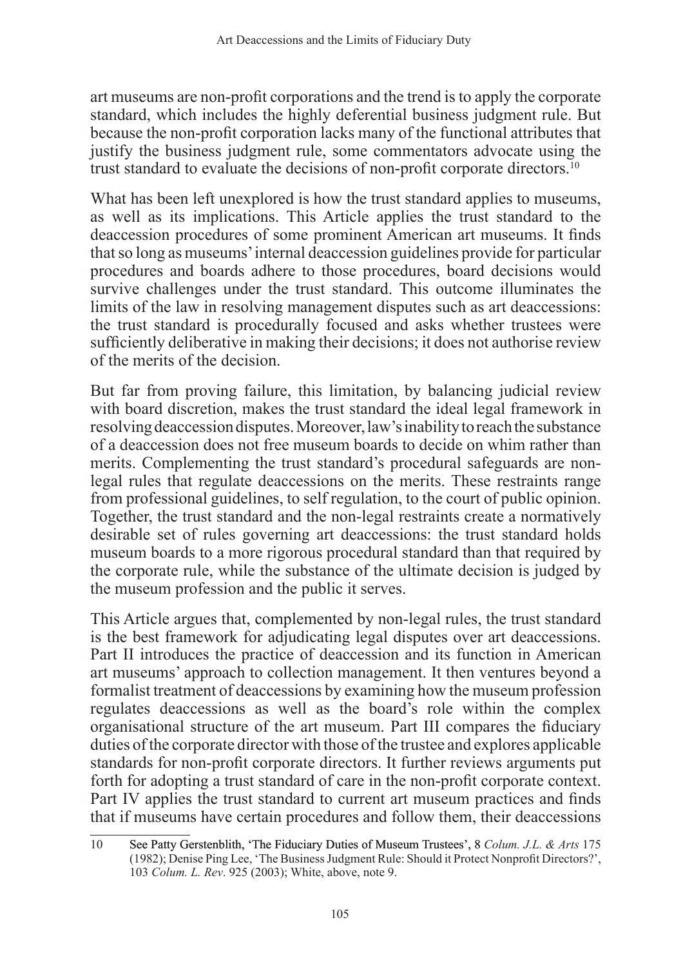art museums are non-profit corporations and the trend is to apply the corporate standard, which includes the highly deferential business judgment rule. But because the non-profit corporation lacks many of the functional attributes that justify the business judgment rule, some commentators advocate using the trust standard to evaluate the decisions of non-profit corporate directors.<sup>10</sup>

What has been left unexplored is how the trust standard applies to museums, as well as its implications. This Article applies the trust standard to the deaccession procedures of some prominent American art museums. It finds that so long as museums' internal deaccession guidelines provide for particular procedures and boards adhere to those procedures, board decisions would survive challenges under the trust standard. This outcome illuminates the limits of the law in resolving management disputes such as art deaccessions: the trust standard is procedurally focused and asks whether trustees were sufficiently deliberative in making their decisions; it does not authorise review of the merits of the decision.

But far from proving failure, this limitation, by balancing judicial review with board discretion, makes the trust standard the ideal legal framework in resolving deaccession disputes. Moreover, law's inability to reach the substance of a deaccession does not free museum boards to decide on whim rather than merits. Complementing the trust standard's procedural safeguards are nonlegal rules that regulate deaccessions on the merits. These restraints range from professional guidelines, to self regulation, to the court of public opinion. Together, the trust standard and the non-legal restraints create a normatively desirable set of rules governing art deaccessions: the trust standard holds museum boards to a more rigorous procedural standard than that required by the corporate rule, while the substance of the ultimate decision is judged by the museum profession and the public it serves.

This Article argues that, complemented by non-legal rules, the trust standard is the best framework for adjudicating legal disputes over art deaccessions. Part II introduces the practice of deaccession and its function in American art museums' approach to collection management. It then ventures beyond a formalist treatment of deaccessions by examining how the museum profession regulates deaccessions as well as the board's role within the complex organisational structure of the art museum. Part III compares the fiduciary duties of the corporate director with those of the trustee and explores applicable standards for non-profit corporate directors. It further reviews arguments put forth for adopting a trust standard of care in the non-profit corporate context. Part IV applies the trust standard to current art museum practices and finds that if museums have certain procedures and follow them, their deaccessions

<sup>10</sup> See Patty Gerstenblith, �The Fiduciary Duties of Museum Trustees', 8 *Colum. J.L. & Arts* 175 (1982); Denise Ping Lee, 'The Business Judgment Rule: Should it Protect Nonprofit Directors?', 103 *Colum. L. Rev*. 925 (2003); White, above, note 9.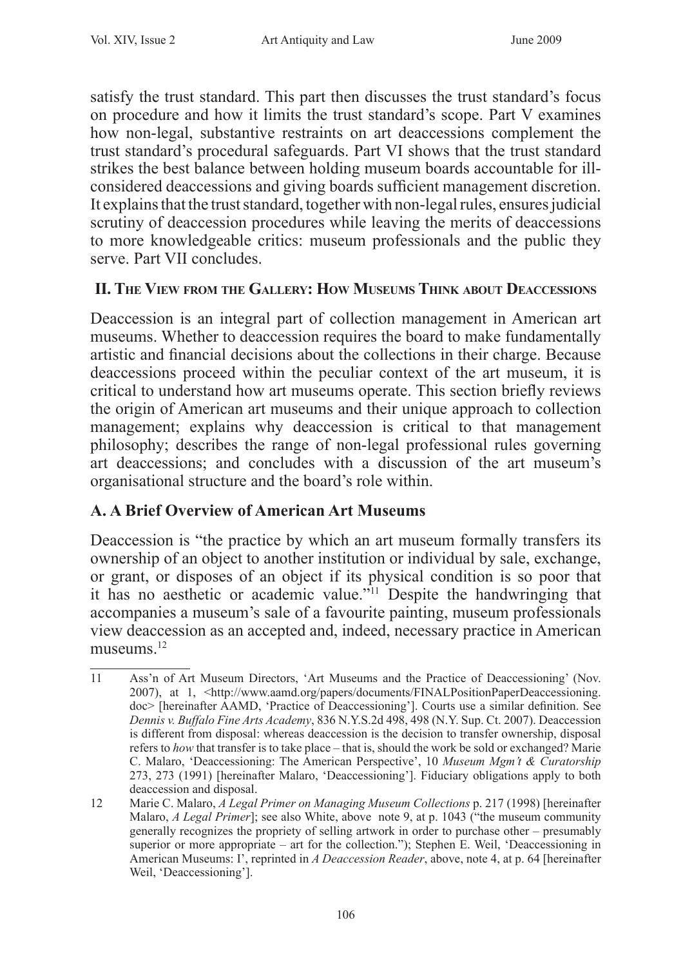satisfy the trust standard. This part then discusses the trust standard's focus on procedure and how it limits the trust standard's scope. Part V examines how non-legal, substantive restraints on art deaccessions complement the trust standard's procedural safeguards. Part VI shows that the trust standard strikes the best balance between holding museum boards accountable for illconsidered deaccessions and giving boards sufficient management discretion. It explains that the trust standard, together with non-legal rules, ensures judicial scrutiny of deaccession procedures while leaving the merits of deaccessions to more knowledgeable critics: museum professionals and the public they serve. Part VII concludes.

## **II. The View from the Gallery: How Museums Think about Deaccessions**

Deaccession is an integral part of collection management in American art museums. Whether to deaccession requires the board to make fundamentally artistic and financial decisions about the collections in their charge. Because deaccessions proceed within the peculiar context of the art museum, it is critical to understand how art museums operate. This section briefly reviews the origin of American art museums and their unique approach to collection management; explains why deaccession is critical to that management philosophy; describes the range of non-legal professional rules governing art deaccessions; and concludes with a discussion of the art museum's organisational structure and the board's role within.

# **A. A Brief Overview of American Art Museums**

Deaccession is "the practice by which an art museum formally transfers its ownership of an object to another institution or individual by sale, exchange, or grant, or disposes of an object if its physical condition is so poor that it has no aesthetic or academic value."11 Despite the handwringing that accompanies a museum's sale of a favourite painting, museum professionals view deaccession as an accepted and, indeed, necessary practice in American museums<sup>12</sup>

<sup>11</sup> Ass'n of Art Museum Directors, 'Art Museums and the Practice of Deaccessioning' (Nov. 2007), at 1, <http://www.aamd.org/papers/documents/FINALPositionPaperDeaccessioning. doc> [hereinafter AAMD, 'Practice of Deaccessioning']. Courts use a similar definition. See *Dennis v. Buffalo Fine Arts Academy*, 836 N.Y.S.2d 498, 498 (N.Y. Sup. Ct. 2007). Deaccession is different from disposal: whereas deaccession is the decision to transfer ownership, disposal refers to *how* that transfer is to take place – that is, should the work be sold or exchanged? Marie C. Malaro, 'Deaccessioning: The American Perspective', 10 *Museum Mgm't & Curatorship*  273, 273 (1991) [hereinafter Malaro, 'Deaccessioning']. Fiduciary obligations apply to both deaccession and disposal.

<sup>12</sup> Marie C. Malaro, *A Legal Primer on Managing Museum Collections* p. 217 (1998) [hereinafter Malaro, *A Legal Primer*]; see also White, above note 9, at p. 1043 ("the museum community generally recognizes the propriety of selling artwork in order to purchase other – presumably superior or more appropriate – art for the collection."); Stephen E. Weil, 'Deaccessioning in American Museums: I', reprinted in *A Deaccession Reader*, above, note 4, at p. 64 [hereinafter Weil, 'Deaccessioning'].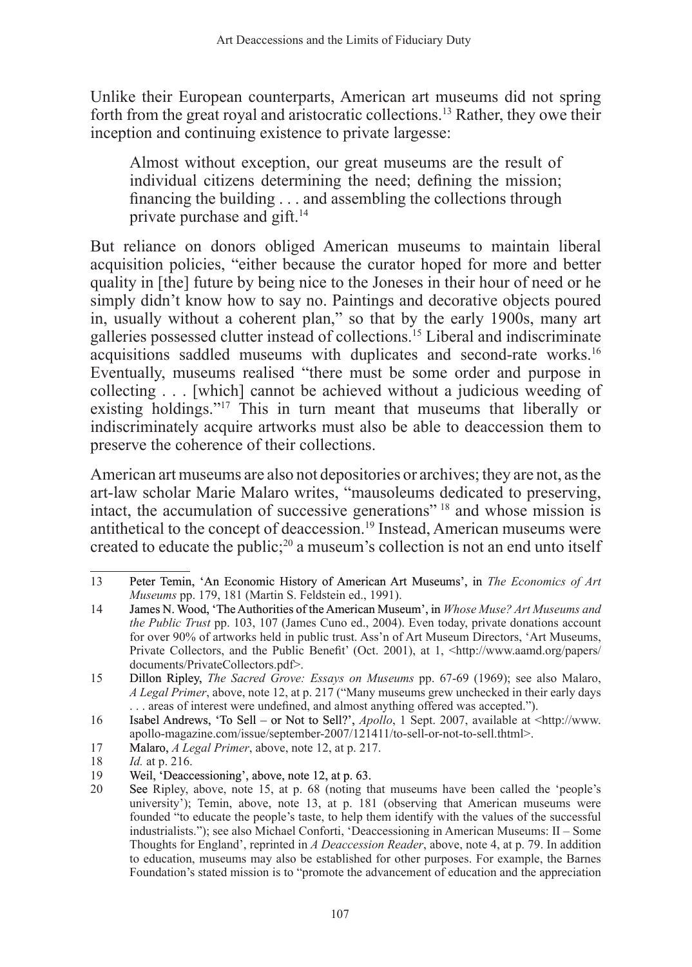Unlike their European counterparts, American art museums did not spring forth from the great royal and aristocratic collections.<sup>13</sup> Rather, they owe their inception and continuing existence to private largesse:

Almost without exception, our great museums are the result of individual citizens determining the need; defining the mission; financing the building . . . and assembling the collections through private purchase and gift.<sup>14</sup>

But reliance on donors obliged American museums to maintain liberal acquisition policies, "either because the curator hoped for more and better quality in [the] future by being nice to the Joneses in their hour of need or he simply didn't know how to say no. Paintings and decorative objects poured in, usually without a coherent plan," so that by the early 1900s, many art galleries possessed clutter instead of collections.<sup>15</sup> Liberal and indiscriminate acquisitions saddled museums with duplicates and second-rate works.<sup>16</sup> Eventually, museums realised "there must be some order and purpose in collecting . . . [which] cannot be achieved without a judicious weeding of existing holdings."<sup>17</sup> This in turn meant that museums that liberally or indiscriminately acquire artworks must also be able to deaccession them to preserve the coherence of their collections.

American art museums are also not depositories or archives; they are not, as the art-law scholar Marie Malaro writes, "mausoleums dedicated to preserving, intact, the accumulation of successive generations"<sup>18</sup> and whose mission is antithetical to the concept of deaccession.<sup>19</sup> Instead, American museums were created to educate the public;<sup>20</sup> a museum's collection is not an end unto itself

<sup>13</sup> Peter Temin, �An Economic History of American Art Museums', in *The Economics of Art Museums* pp. 179, 181 (Martin S. Feldstein ed., 1991).

<sup>14</sup> James N. Wood, �The Authorities of the American Museum', in *Whose Muse? Art Museums and the Public Trust* pp. 103, 107 (James Cuno ed., 2004). Even today, private donations account for over 90% of artworks held in public trust. Ass'n of Art Museum Directors, 'Art Museums, Private Collectors, and the Public Benefit' (Oct. 2001), at 1, <http://www.aamd.org/papers/ documents/PrivateCollectors.pdf>.

<sup>15</sup> Dillon Ripley, *The Sacred Grove: Essays on Museums* pp. 67-69 (1969); see also Malaro, *A Legal Primer*, above, note 12, at p. 217 ("Many museums grew unchecked in their early days areas of interest were undefined, and almost anything offered was accepted.").

<sup>16</sup> Isabel Andrews, �To Sell – or Not to Sell?', *Apollo*, 1 Sept. 2007, available at <http://www. apollo-magazine.com/issue/september-2007/121411/to-sell-or-not-to-sell.thtml>.

<sup>17</sup> Malaro, *A Legal Primer*, above, note 12, at p. 217.

<sup>18</sup> *Id.* at p. 216.

Weil, Deaccessioning', above, note 12, at p. 63.

<sup>20</sup> See Ripley, above, note 15, at p. 68 (noting that museums have been called the 'people's university'); Temin, above, note 13, at p. 181 (observing that American museums were founded "to educate the people's taste, to help them identify with the values of the successful industrialists."); see also Michael Conforti, 'Deaccessioning in American Museums: II – Some Thoughts for England', reprinted in *A Deaccession Reader*, above, note 4, at p. 79. In addition to education, museums may also be established for other purposes. For example, the Barnes Foundation's stated mission is to "promote the advancement of education and the appreciation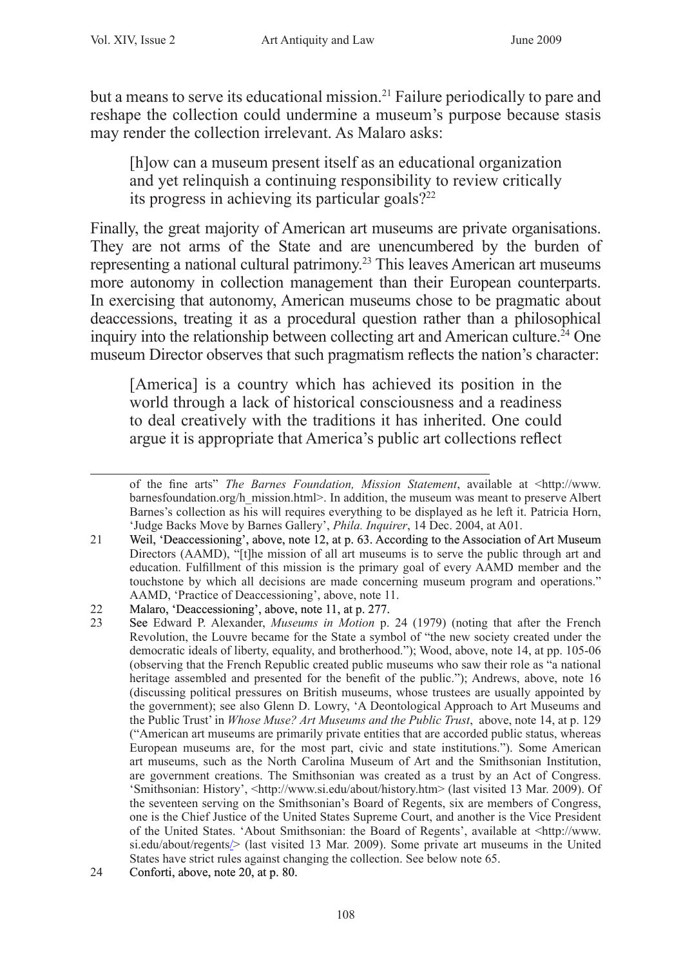but a means to serve its educational mission.21 Failure periodically to pare and reshape the collection could undermine a museum's purpose because stasis may render the collection irrelevant. As Malaro asks:

[h]ow can a museum present itself as an educational organization and yet relinquish a continuing responsibility to review critically its progress in achieving its particular goals? $22$ 

Finally, the great majority of American art museums are private organisations. They are not arms of the State and are unencumbered by the burden of representing a national cultural patrimony.23 This leaves American art museums more autonomy in collection management than their European counterparts. In exercising that autonomy, American museums chose to be pragmatic about deaccessions, treating it as a procedural question rather than a philosophical inquiry into the relationship between collecting art and American culture.<sup>24</sup> One museum Director observes that such pragmatism reflects the nation's character:

[America] is a country which has achieved its position in the world through a lack of historical consciousness and a readiness to deal creatively with the traditions it has inherited. One could argue it is appropriate that America's public art collections reflect

of the fine arts" *The Barnes Foundation, Mission Statement*, available at <http://www. barnesfoundation.org/h\_mission.html>. In addition, the museum was meant to preserve Albert Barnes's collection as his will requires everything to be displayed as he left it. Patricia Horn, 'Judge Backs Move by Barnes Gallery', *Phila. Inquirer*, 14 Dec. 2004, at A01.

<sup>21</sup> Weil, �Deaccessioning', above, note 12, at p. 63. According to the Association of Art Museum Directors (AAMD), "[t]he mission of all art museums is to serve the public through art and education. Fulfillment of this mission is the primary goal of every AAMD member and the touchstone by which all decisions are made concerning museum program and operations." AAMD, 'Practice of Deaccessioning', above, note 11.

<sup>22</sup> Malaro, 'Deaccessioning', above, note 11, at p. 277.<br>23 See Edward P Alexander *Museums in Motion* p.

See Edward P. Alexander, *Museums in Motion* p. 24 (1979) (noting that after the French Revolution, the Louvre became for the State a symbol of "the new society created under the democratic ideals of liberty, equality, and brotherhood."); Wood, above, note 14, at pp. 105-06 (observing that the French Republic created public museums who saw their role as "a national heritage assembled and presented for the benefit of the public."); Andrews, above, note 16 (discussing political pressures on British museums, whose trustees are usually appointed by the government); see also Glenn D. Lowry, 'A Deontological Approach to Art Museums and the Public Trust' in *Whose Muse? Art Museums and the Public Trust*, above, note 14, at p. 129 ("American art museums are primarily private entities that are accorded public status, whereas European museums are, for the most part, civic and state institutions."). Some American art museums, such as the North Carolina Museum of Art and the Smithsonian Institution, are government creations. The Smithsonian was created as a trust by an Act of Congress. 'Smithsonian: History', <http://www.si.edu/about/history.htm> (last visited 13 Mar. 2009). Of the seventeen serving on the Smithsonian's Board of Regents, six are members of Congress, one is the Chief Justice of the United States Supreme Court, and another is the Vice President of the United States. 'About Smithsonian: the Board of Regents', available at <http://www. si.edu/about/regents/> (last visited 13 Mar. 2009). Some private art museums in the United States have strict rules against changing the collection. See below note 65.

<sup>24</sup> Conforti, above, note 20, at p. 80.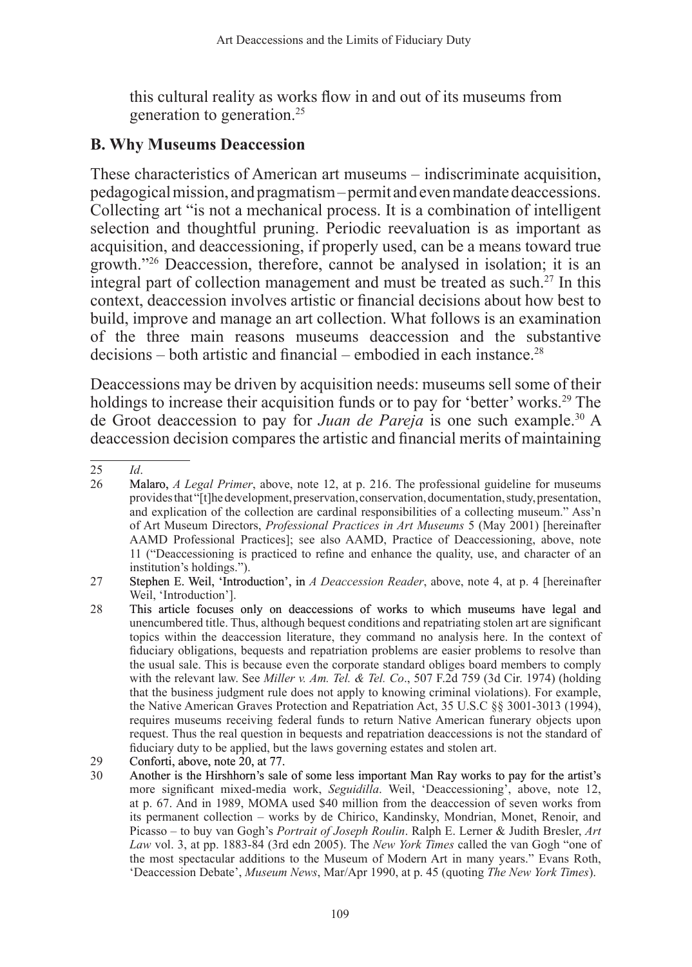this cultural reality as works flow in and out of its museums from generation to generation.25

# **B. Why Museums Deaccession**

These characteristics of American art museums – indiscriminate acquisition, pedagogical mission, and pragmatism – permit and even mandate deaccessions. Collecting art "is not a mechanical process. It is a combination of intelligent selection and thoughtful pruning. Periodic reevaluation is as important as acquisition, and deaccessioning, if properly used, can be a means toward true growth."26 Deaccession, therefore, cannot be analysed in isolation; it is an integral part of collection management and must be treated as such.27 In this context, deaccession involves artistic or financial decisions about how best to build, improve and manage an art collection. What follows is an examination of the three main reasons museums deaccession and the substantive  $decisions - both artistic and financial - embodied in each instance.<sup>28</sup>$ 

Deaccessions may be driven by acquisition needs: museums sell some of their holdings to increase their acquisition funds or to pay for 'better' works.<sup>29</sup> The de Groot deaccession to pay for *Juan de Pareja* is one such example.30 A deaccession decision compares the artistic and financial merits of maintaining

<sup>25</sup> *Id*.

<sup>26</sup> Malaro, *A Legal Primer*, above, note 12, at p. 216. The professional guideline for museums provides that "[t]he development, preservation, conservation, documentation, study, presentation, and explication of the collection are cardinal responsibilities of a collecting museum." Ass'n of Art Museum Directors, *Professional Practices in Art Museums* 5 (May 2001) [hereinafter AAMD Professional Practices]; see also AAMD, Practice of Deaccessioning, above, note 11 ("Deaccessioning is practiced to refine and enhance the quality, use, and character of an institution's holdings.").

<sup>27</sup> Stephen E. Weil, 'Introduction', in *A Deaccession Reader*, above, note 4, at p. 4 [hereinafter] Weil, 'Introduction'].

<sup>28</sup> This article focuses only on deaccessions of works to which museums have legal and unencumbered title. Thus, although bequest conditions and repatriating stolen art are significant topics within the deaccession literature, they command no analysis here. In the context of fiduciary obligations, bequests and repatriation problems are easier problems to resolve than the usual sale. This is because even the corporate standard obliges board members to comply with the relevant law. See *Miller v. Am. Tel. & Tel. Co*., 507 F.2d 759 (3d Cir. 1974) (holding that the business judgment rule does not apply to knowing criminal violations). For example, the Native American Graves Protection and Repatriation Act, 35 U.S.C §§ 3001-3013 (1994), requires museums receiving federal funds to return Native American funerary objects upon request. Thus the real question in bequests and repatriation deaccessions is not the standard of fiduciary duty to be applied, but the laws governing estates and stolen art.

<sup>29</sup> Conforti, above, note 20, at 77.

<sup>30</sup> Another is the Hirshhorn's sale of some less important Man Ray works to pay for the artist's more significant mixed-media work, *Seguidilla*. Weil, 'Deaccessioning', above, note 12, at p. 67. And in 1989, MOMA used \$40 million from the deaccession of seven works from its permanent collection – works by de Chirico, Kandinsky, Mondrian, Monet, Renoir, and Picasso – to buy van Gogh's *Portrait of Joseph Roulin*. Ralph E. Lerner & Judith Bresler, *Art Law* vol. 3, at pp. 1883-84 (3rd edn 2005). The *New York Times* called the van Gogh "one of the most spectacular additions to the Museum of Modern Art in many years." Evans Roth, 'Deaccession Debate', *Museum News*, Mar/Apr 1990, at p. 45 (quoting *The New York Times*).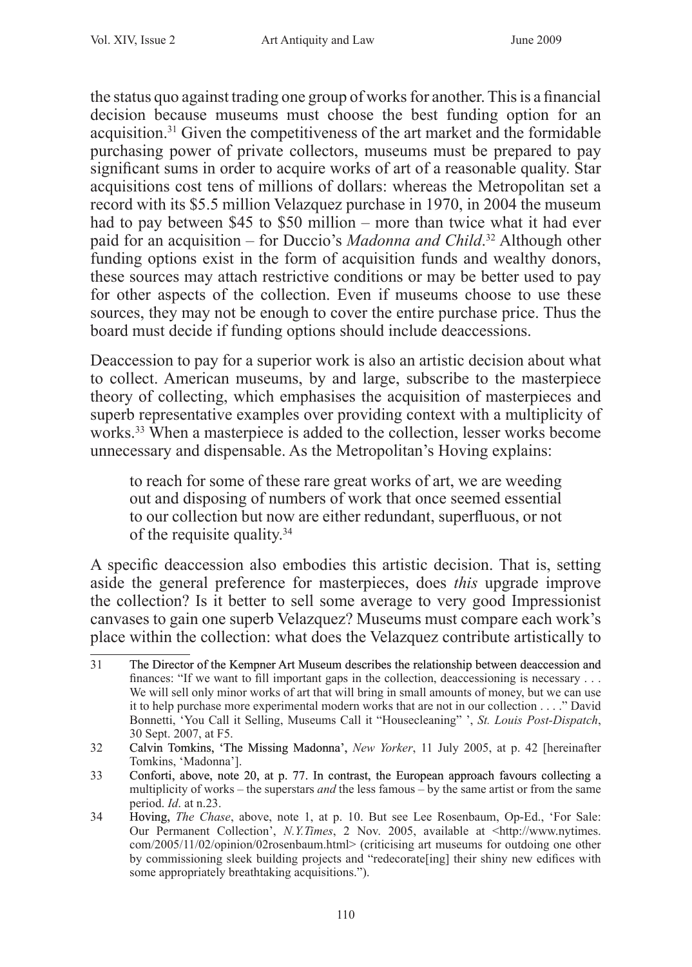the status quo against trading one group of works for another. This is a financial decision because museums must choose the best funding option for an acquisition.31 Given the competitiveness of the art market and the formidable purchasing power of private collectors, museums must be prepared to pay significant sums in order to acquire works of art of a reasonable quality. Star acquisitions cost tens of millions of dollars: whereas the Metropolitan set a record with its \$5.5 million Velazquez purchase in 1970, in 2004 the museum had to pay between \$45 to \$50 million – more than twice what it had ever paid for an acquisition – for Duccio's *Madonna and Child*. <sup>32</sup> Although other funding options exist in the form of acquisition funds and wealthy donors, these sources may attach restrictive conditions or may be better used to pay for other aspects of the collection. Even if museums choose to use these sources, they may not be enough to cover the entire purchase price. Thus the board must decide if funding options should include deaccessions.

Deaccession to pay for a superior work is also an artistic decision about what to collect. American museums, by and large, subscribe to the masterpiece theory of collecting, which emphasises the acquisition of masterpieces and superb representative examples over providing context with a multiplicity of works.<sup>33</sup> When a masterpiece is added to the collection, lesser works become unnecessary and dispensable. As the Metropolitan's Hoving explains:

to reach for some of these rare great works of art, we are weeding out and disposing of numbers of work that once seemed essential to our collection but now are either redundant, superfluous, or not of the requisite quality.<sup>34</sup>

A specific deaccession also embodies this artistic decision. That is, setting aside the general preference for masterpieces, does *this* upgrade improve the collection? Is it better to sell some average to very good Impressionist canvases to gain one superb Velazquez? Museums must compare each work's place within the collection: what does the Velazquez contribute artistically to

<sup>31</sup> The Director of the Kempner Art Museum describes the relationship between deaccession and finances: "If we want to fill important gaps in the collection, deaccessioning is necessary . . . We will sell only minor works of art that will bring in small amounts of money, but we can use it to help purchase more experimental modern works that are not in our collection . . . ." David Bonnetti, 'You Call it Selling, Museums Call it "Housecleaning" ', *St. Louis Post-Dispatch*, 30 Sept. 2007, at F5.

<sup>32</sup> Calvin Tomkins, �The Missing Madonna', *New Yorker*, 11 July 2005, at p. 42 [hereinafter Tomkins, 'Madonna'].

<sup>33</sup> Conforti, above, note 20, at p. 77. In contrast, the European approach favours collecting a multiplicity of works – the superstars *and* the less famous – by the same artist or from the same period. *Id*. at n.23.

<sup>34</sup> Hoving, *The Chase*, above, note 1, at p. 10. But see Lee Rosenbaum, Op-Ed., 'For Sale: Our Permanent Collection', *N.Y.Times*, 2 Nov. 2005, available at <http://www.nytimes. com/2005/11/02/opinion/02rosenbaum.html> (criticising art museums for outdoing one other by commissioning sleek building projects and "redecorate[ing] their shiny new edifices with some appropriately breathtaking acquisitions.").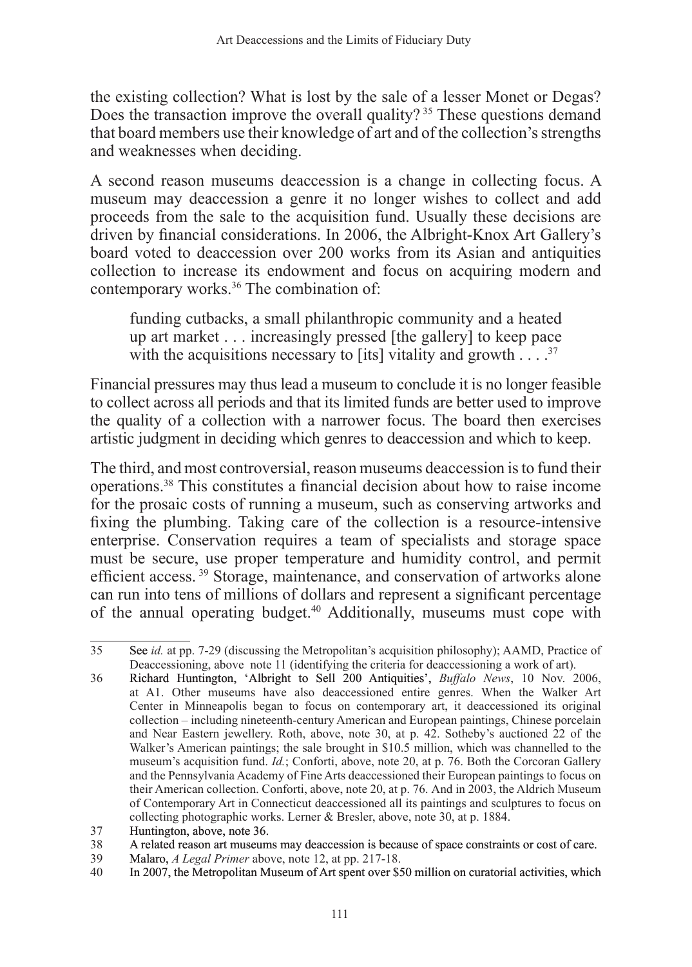the existing collection? What is lost by the sale of a lesser Monet or Degas? Does the transaction improve the overall quality?<sup>35</sup> These questions demand that board members use their knowledge of art and of the collection's strengths and weaknesses when deciding.

A second reason museums deaccession is a change in collecting focus. A museum may deaccession a genre it no longer wishes to collect and add proceeds from the sale to the acquisition fund. Usually these decisions are driven by financial considerations. In 2006, the Albright-Knox Art Gallery's board voted to deaccession over 200 works from its Asian and antiquities collection to increase its endowment and focus on acquiring modern and contemporary works.<sup>36</sup> The combination of:

funding cutbacks, a small philanthropic community and a heated up art market . . . increasingly pressed [the gallery] to keep pace with the acquisitions necessary to [its] vitality and growth  $\ldots$  .<sup>37</sup>

Financial pressures may thus lead a museum to conclude it is no longer feasible to collect across all periods and that its limited funds are better used to improve the quality of a collection with a narrower focus. The board then exercises artistic judgment in deciding which genres to deaccession and which to keep.

The third, and most controversial, reason museums deaccession is to fund their operations.<sup>38</sup> This constitutes a financial decision about how to raise income for the prosaic costs of running a museum, such as conserving artworks and fixing the plumbing. Taking care of the collection is a resource-intensive enterprise. Conservation requires a team of specialists and storage space must be secure, use proper temperature and humidity control, and permit efficient access. 39 Storage, maintenance, and conservation of artworks alone can run into tens of millions of dollars and represent a significant percentage of the annual operating budget.40 Additionally, museums must cope with

<sup>35</sup> See *id.* at pp. 7-29 (discussing the Metropolitan's acquisition philosophy); AAMD, Practice of Deaccessioning, above note 11 (identifying the criteria for deaccessioning a work of art).

<sup>36</sup> Richard Huntington, �Albright to Sell 200 Antiquities', *Buffalo News*, 10 Nov. 2006, at A1. Other museums have also deaccessioned entire genres. When the Walker Art Center in Minneapolis began to focus on contemporary art, it deaccessioned its original collection – including nineteenth-century American and European paintings, Chinese porcelain and Near Eastern jewellery. Roth, above, note 30, at p. 42. Sotheby's auctioned 22 of the Walker's American paintings; the sale brought in \$10.5 million, which was channelled to the museum's acquisition fund. *Id.*; Conforti, above, note 20, at p. 76. Both the Corcoran Gallery and the Pennsylvania Academy of Fine Arts deaccessioned their European paintings to focus on their American collection. Conforti, above, note 20, at p. 76. And in 2003, the Aldrich Museum of Contemporary Art in Connecticut deaccessioned all its paintings and sculptures to focus on collecting photographic works. Lerner & Bresler, above, note 30, at p. 1884.

<sup>37</sup> Huntington, above, note 36.

<sup>38</sup> A related reason art museums may deaccession is because of space constraints or cost of care.<br>39 Malaro. *A Legal Primer* above. note 12. at pp. 217-18.

<sup>39</sup> Malaro, *A Legal Primer* above, note 12, at pp. 217-18.<br>40 In 2007, the Metropolitan Museum of Art spent over \$2

<sup>40</sup> In 2007, the Metropolitan Museum of Art spent over \$50 million on curatorial activities, which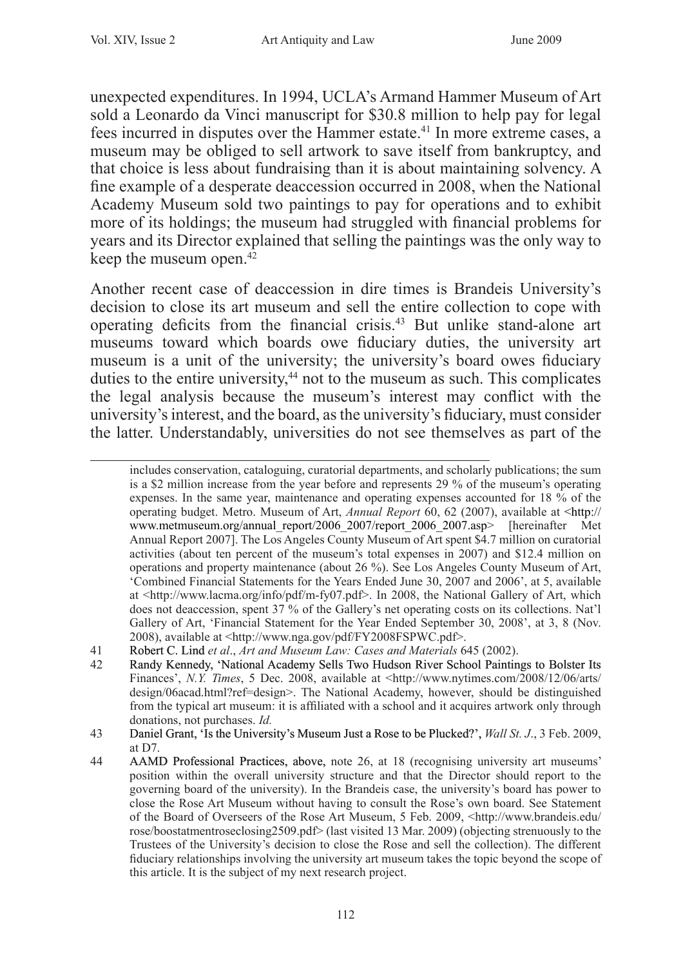unexpected expenditures. In 1994, UCLA's Armand Hammer Museum of Art sold a Leonardo da Vinci manuscript for \$30.8 million to help pay for legal fees incurred in disputes over the Hammer estate.<sup>41</sup> In more extreme cases, a museum may be obliged to sell artwork to save itself from bankruptcy, and that choice is less about fundraising than it is about maintaining solvency. A fine example of a desperate deaccession occurred in 2008, when the National Academy Museum sold two paintings to pay for operations and to exhibit more of its holdings; the museum had struggled with financial problems for years and its Director explained that selling the paintings was the only way to keep the museum open.42

Another recent case of deaccession in dire times is Brandeis University's decision to close its art museum and sell the entire collection to cope with operating deficits from the financial crisis.<sup>43</sup> But unlike stand-alone art museums toward which boards owe fiduciary duties, the university art museum is a unit of the university; the university's board owes fiduciary duties to the entire university,<sup>44</sup> not to the museum as such. This complicates the legal analysis because the museum's interest may conflict with the university's interest, and the board, as the university's fiduciary, must consider the latter. Understandably, universities do not see themselves as part of the

includes conservation, cataloguing, curatorial departments, and scholarly publications; the sum is a \$2 million increase from the year before and represents 29 % of the museum's operating expenses. In the same year, maintenance and operating expenses accounted for 18 % of the operating budget. Metro. Museum of Art, *Annual Report* 60, 62 (2007), available at <http:// www.metmuseum.org/annual\_report/2006\_2007/report\_2006\_2007.asp> [hereinafter Met Annual Report 2007]. The Los Angeles County Museum of Art spent \$4.7 million on curatorial activities (about ten percent of the museum's total expenses in 2007) and \$12.4 million on operations and property maintenance (about 26 %). See Los Angeles County Museum of Art, 'Combined Financial Statements for the Years Ended June 30, 2007 and 2006', at 5, available at <http://www.lacma.org/info/pdf/m-fy07.pdf>. In 2008, the National Gallery of Art, which does not deaccession, spent 37 % of the Gallery's net operating costs on its collections. Nat'l Gallery of Art, 'Financial Statement for the Year Ended September 30, 2008', at 3, 8 (Nov. 2008), available at <http://www.nga.gov/pdf/FY2008FSPWC.pdf>.

<sup>41</sup> Robert C. Lind *et al*., *Art and Museum Law: Cases and Materials* 645 (2002).

Randy Kennedy, 'National Academy Sells Two Hudson River School Paintings to Bolster Its Finances', *N.Y. Times*, 5 Dec. 2008, available at <http://www.nytimes.com/2008/12/06/arts/ design/06acad.html?ref=design>. The National Academy, however, should be distinguished from the typical art museum: it is affiliated with a school and it acquires artwork only through donations, not purchases. *Id.*

<sup>43</sup> Daniel Grant, 'Is the University's Museum Just a Rose to be Plucked?', *Wall St. J.*, 3 Feb. 2009, at D7.

<sup>44</sup> AAMD Professional Practices, above, note 26, at 18 (recognising university art museums' position within the overall university structure and that the Director should report to the governing board of the university). In the Brandeis case, the university's board has power to close the Rose Art Museum without having to consult the Rose's own board. See Statement of the Board of Overseers of the Rose Art Museum, 5 Feb. 2009, <http://www.brandeis.edu/ rose/boostatmentroseclosing2509.pdf> (last visited 13 Mar. 2009) (objecting strenuously to the Trustees of the University's decision to close the Rose and sell the collection). The different fiduciary relationships involving the university art museum takes the topic beyond the scope of this article. It is the subject of my next research project.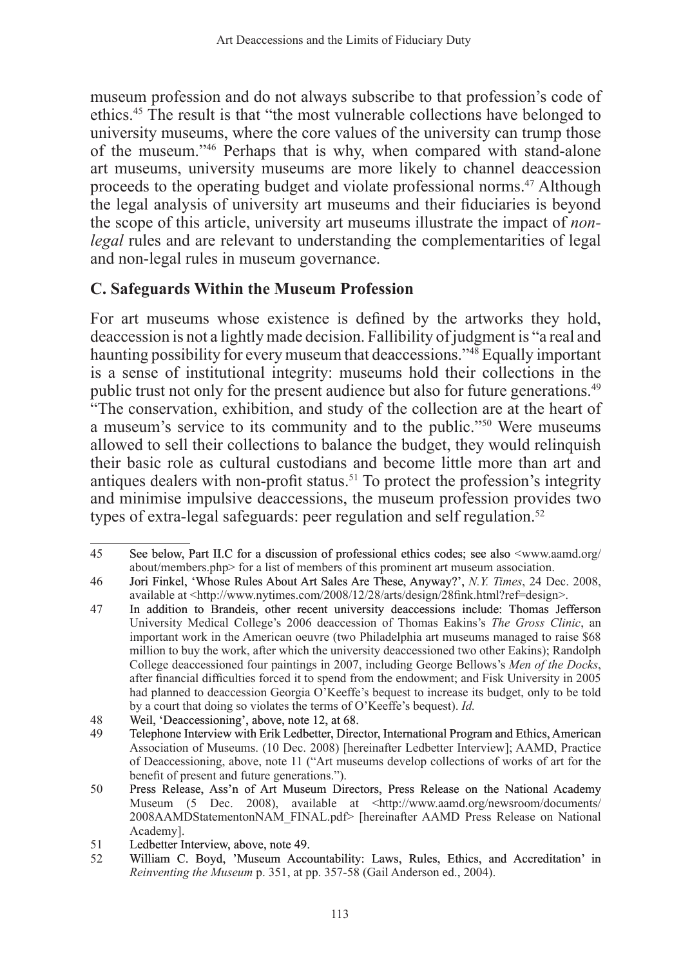museum profession and do not always subscribe to that profession's code of ethics.<sup>45</sup> The result is that "the most vulnerable collections have belonged to university museums, where the core values of the university can trump those of the museum."<sup>46</sup> Perhaps that is why, when compared with stand-alone art museums, university museums are more likely to channel deaccession proceeds to the operating budget and violate professional norms.47 Although the legal analysis of university art museums and their fiduciaries is beyond the scope of this article, university art museums illustrate the impact of *nonlegal* rules and are relevant to understanding the complementarities of legal and non-legal rules in museum governance.

# **C. Safeguards Within the Museum Profession**

For art museums whose existence is defined by the artworks they hold, deaccession is not a lightly made decision. Fallibility of judgment is "a real and haunting possibility for every museum that deaccessions."<sup>48</sup> Equally important is a sense of institutional integrity: museums hold their collections in the public trust not only for the present audience but also for future generations.49 "The conservation, exhibition, and study of the collection are at the heart of a museum's service to its community and to the public."<sup>50</sup> Were museums allowed to sell their collections to balance the budget, they would relinquish their basic role as cultural custodians and become little more than art and antiques dealers with non-profit status.<sup>51</sup> To protect the profession's integrity and minimise impulsive deaccessions, the museum profession provides two types of extra-legal safeguards: peer regulation and self regulation.<sup>52</sup>

<sup>45</sup> See below, Part II.C for a discussion of professional ethics codes; see also <www.aamd.org/ about/members.php> for a list of members of this prominent art museum association.

<sup>46</sup> Jori Finkel, �Whose Rules About Art Sales Are These, Anyway?', *N.Y. Times*, 24 Dec. 2008, available at <http://www.nytimes.com/2008/12/28/arts/design/28fink.html?ref=design>.

<sup>47</sup> In addition to Brandeis, other recent university deaccessions include: Thomas Jefferson University Medical College's 2006 deaccession of Thomas Eakins's *The Gross Clinic*, an important work in the American oeuvre (two Philadelphia art museums managed to raise \$68 million to buy the work, after which the university deaccessioned two other Eakins); Randolph College deaccessioned four paintings in 2007, including George Bellows's *Men of the Docks*, after financial difficulties forced it to spend from the endowment; and Fisk University in 2005 had planned to deaccession Georgia O'Keeffe's bequest to increase its budget, only to be told by a court that doing so violates the terms of O'Keeffe's bequest). *Id.*

<sup>48</sup> Weil, 'Deaccessioning', above, note 12, at 68.<br>49 Telephone Interview with Erik Ledbetter, Direct

<sup>49</sup> Telephone Interview with Erik Ledbetter, Director, International Program and Ethics, American Association of Museums. (10 Dec. 2008) [hereinafter Ledbetter Interview]; AAMD, Practice of Deaccessioning, above, note 11 ("Art museums develop collections of works of art for the benefit of present and future generations.").

<sup>50</sup> Press Release, Ass'n of Art Museum Directors, Press Release on the National Academy Museum (5 Dec. 2008), available at <http://www.aamd.org/newsroom/documents/ 2008AAMDStatementonNAM\_FINAL.pdf> [hereinafter AAMD Press Release on National Academy].

<sup>51</sup> Ledbetter Interview, above, note 49.<br>52 William C. Bovd. 'Museum Acco

<sup>52</sup> William C. Boyd, 'Museum Accountability: Laws, Rules, Ethics, and Accreditation' in *Reinventing the Museum* p. 351, at pp. 357-58 (Gail Anderson ed., 2004).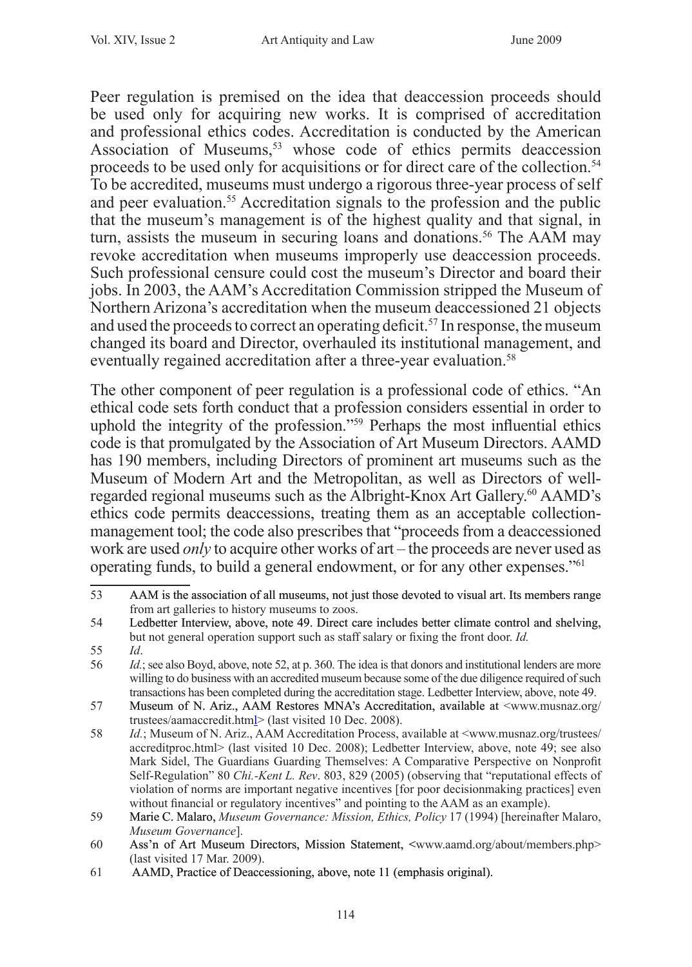Peer regulation is premised on the idea that deaccession proceeds should be used only for acquiring new works. It is comprised of accreditation and professional ethics codes. Accreditation is conducted by the American Association of Museums,<sup>53</sup> whose code of ethics permits deaccession proceeds to be used only for acquisitions or for direct care of the collection.<sup>54</sup> To be accredited, museums must undergo a rigorous three-year process of self and peer evaluation.<sup>55</sup> Accreditation signals to the profession and the public that the museum's management is of the highest quality and that signal, in turn, assists the museum in securing loans and donations.<sup>56</sup> The AAM may revoke accreditation when museums improperly use deaccession proceeds. Such professional censure could cost the museum's Director and board their jobs. In 2003, the AAM's Accreditation Commission stripped the Museum of Northern Arizona's accreditation when the museum deaccessioned 21 objects and used the proceeds to correct an operating deficit.57 In response, the museum changed its board and Director, overhauled its institutional management, and eventually regained accreditation after a three-year evaluation.<sup>58</sup>

The other component of peer regulation is a professional code of ethics. "An ethical code sets forth conduct that a profession considers essential in order to uphold the integrity of the profession."59 Perhaps the most influential ethics code is that promulgated by the Association of Art Museum Directors. AAMD has 190 members, including Directors of prominent art museums such as the Museum of Modern Art and the Metropolitan, as well as Directors of wellregarded regional museums such as the Albright-Knox Art Gallery.<sup>60</sup> AAMD's ethics code permits deaccessions, treating them as an acceptable collectionmanagement tool; the code also prescribes that "proceeds from a deaccessioned work are used *only* to acquire other works of art – the proceeds are never used as operating funds, to build a general endowment, or for any other expenses."<sup>61</sup>

<sup>53</sup> AAM is the association of all museums, not just those devoted to visual art. Its members range from art galleries to history museums to zoos.

<sup>54</sup> Ledbetter Interview, above, note 49. Direct care includes better climate control and shelving, but not general operation support such as staff salary or fixing the front door. *Id.*

<sup>55</sup> *Id*.

<sup>56</sup> *Id.*; see also Boyd, above, note 52, at p. 360. The idea is that donors and institutional lenders are more willing to do business with an accredited museum because some of the due diligence required of such transactions has been completed during the accreditation stage. Ledbetter Interview, above, note 49.

<sup>57</sup> Museum of N. Ariz., AAM Restores MNA's Accreditation, available at <www.musnaz.org/ trustees/aamaccredit.html> (last visited 10 Dec. 2008).

<sup>58</sup> *Id.*; Museum of N. Ariz., AAM Accreditation Process, available at <www.musnaz.org/trustees/ accreditproc.html> (last visited 10 Dec. 2008); Ledbetter Interview, above, note 49; see also Mark Sidel, The Guardians Guarding Themselves: A Comparative Perspective on Nonprofit Self-Regulation" 80 *Chi.-Kent L. Rev*. 803, 829 (2005) (observing that "reputational effects of violation of norms are important negative incentives [for poor decisionmaking practices] even without financial or regulatory incentives" and pointing to the AAM as an example).

<sup>59</sup> Marie C. Malaro, *Museum Governance: Mission, Ethics, Policy* 17 (1994) [hereinafter Malaro, *Museum Governance*].

<sup>60</sup> Ass'n of Art Museum Directors, Mission Statement, <www.aamd.org/about/members.php> (last visited 17 Mar. 2009).

<sup>61</sup> AAMD, Practice of Deaccessioning, above, note 11 (emphasis original).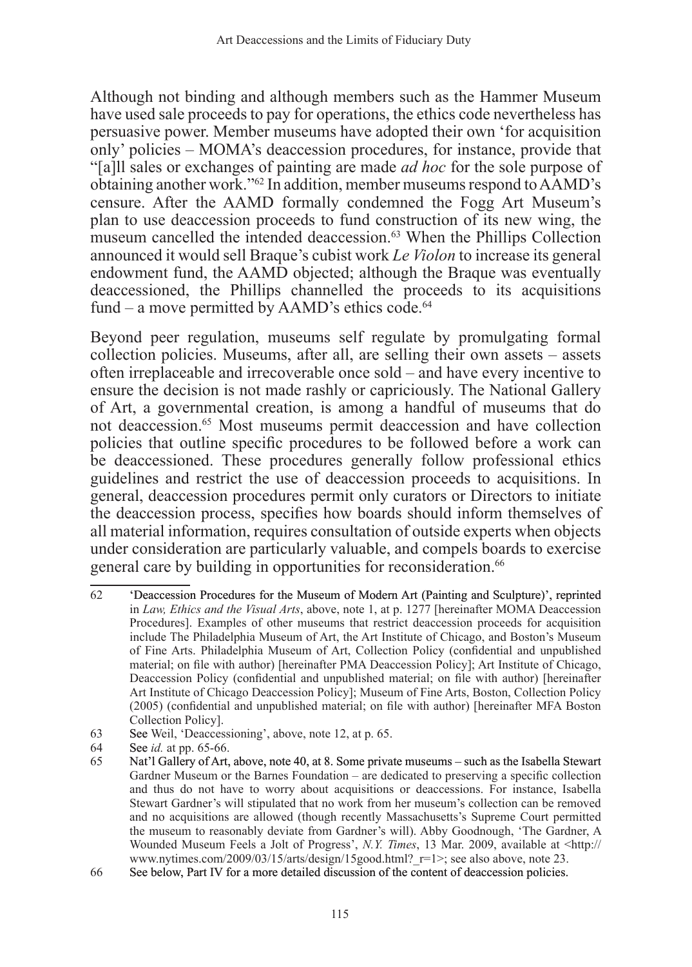Although not binding and although members such as the Hammer Museum have used sale proceeds to pay for operations, the ethics code nevertheless has persuasive power. Member museums have adopted their own 'for acquisition only' policies – MOMA's deaccession procedures, for instance, provide that "[a]ll sales or exchanges of painting are made *ad hoc* for the sole purpose of obtaining another work."62 In addition, member museums respond to AAMD's censure. After the AAMD formally condemned the Fogg Art Museum's plan to use deaccession proceeds to fund construction of its new wing, the museum cancelled the intended deaccession.<sup>63</sup> When the Phillips Collection announced it would sell Braque's cubist work *Le Violon* to increase its general endowment fund, the AAMD objected; although the Braque was eventually deaccessioned, the Phillips channelled the proceeds to its acquisitions fund – a move permitted by AAMD's ethics code.<sup>64</sup>

Beyond peer regulation, museums self regulate by promulgating formal collection policies. Museums, after all, are selling their own assets – assets often irreplaceable and irrecoverable once sold – and have every incentive to ensure the decision is not made rashly or capriciously. The National Gallery of Art, a governmental creation, is among a handful of museums that do not deaccession.<sup>65</sup> Most museums permit deaccession and have collection policies that outline specific procedures to be followed before a work can be deaccessioned. These procedures generally follow professional ethics guidelines and restrict the use of deaccession proceeds to acquisitions. In general, deaccession procedures permit only curators or Directors to initiate the deaccession process, specifies how boards should inform themselves of all material information, requires consultation of outside experts when objects under consideration are particularly valuable, and compels boards to exercise general care by building in opportunities for reconsideration.<sup>66</sup>

- 63 See Weil, 'Deaccessioning', above, note 12, at p. 65.
- 64 See *id.* at pp. 65-66.

<sup>62</sup> �Deaccession Procedures for the Museum of Modern Art (Painting and Sculpture)', reprinted in *Law, Ethics and the Visual Arts*, above, note 1, at p. 1277 [hereinafter MOMA Deaccession Procedures]. Examples of other museums that restrict deaccession proceeds for acquisition include The Philadelphia Museum of Art, the Art Institute of Chicago, and Boston's Museum of Fine Arts. Philadelphia Museum of Art, Collection Policy (confidential and unpublished material; on file with author) [hereinafter PMA Deaccession Policy]; Art Institute of Chicago, Deaccession Policy (confidential and unpublished material; on file with author) [hereinafter Art Institute of Chicago Deaccession Policy]; Museum of Fine Arts, Boston, Collection Policy (2005) (confidential and unpublished material; on file with author) [hereinafter MFA Boston Collection Policy].

Nat'l Gallery of Art, above, note 40, at 8. Some private museums – such as the Isabella Stewart Gardner Museum or the Barnes Foundation – are dedicated to preserving a specific collection and thus do not have to worry about acquisitions or deaccessions. For instance, Isabella Stewart Gardner's will stipulated that no work from her museum's collection can be removed and no acquisitions are allowed (though recently Massachusetts's Supreme Court permitted the museum to reasonably deviate from Gardner's will). Abby Goodnough, 'The Gardner, A Wounded Museum Feels a Jolt of Progress', *N.Y. Times*, 13 Mar. 2009, available at <http:// www.nytimes.com/2009/03/15/arts/design/15good.html? r=1>; see also above, note 23.

<sup>66</sup> See below, Part IV for a more detailed discussion of the content of deaccession policies.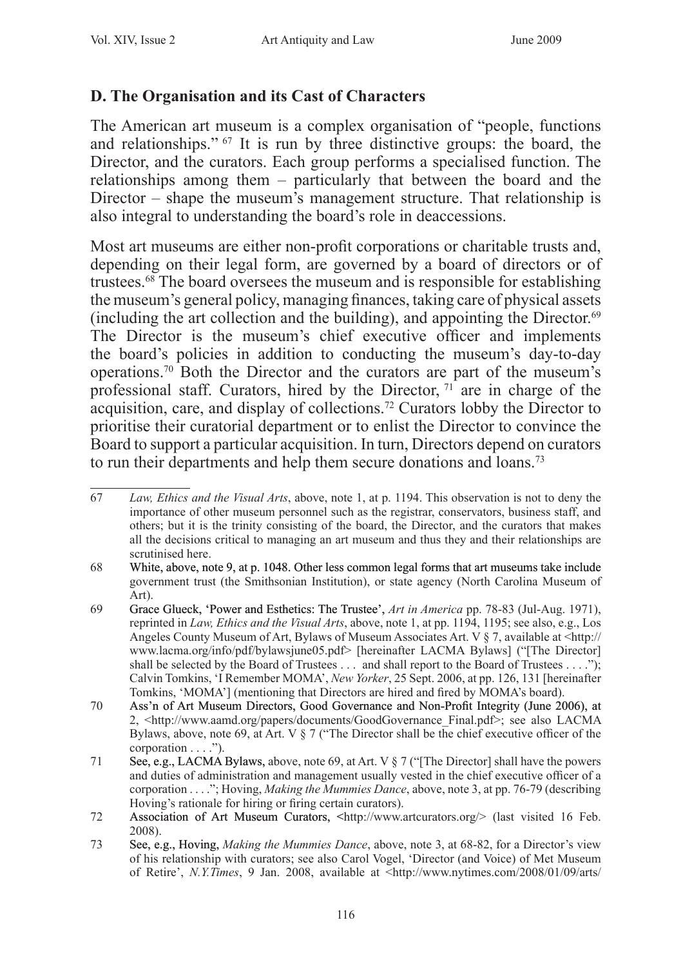# **D. The Organisation and its Cast of Characters**

The American art museum is a complex organisation of "people, functions and relationships." 67 It is run by three distinctive groups: the board, the Director, and the curators. Each group performs a specialised function. The relationships among them – particularly that between the board and the Director – shape the museum's management structure. That relationship is also integral to understanding the board's role in deaccessions.

Most art museums are either non-profit corporations or charitable trusts and, depending on their legal form, are governed by a board of directors or of trustees.<sup>68</sup> The board oversees the museum and is responsible for establishing the museum's general policy, managing finances, taking care of physical assets (including the art collection and the building), and appointing the Director.69 The Director is the museum's chief executive officer and implements the board's policies in addition to conducting the museum's day-to-day operations.70 Both the Director and the curators are part of the museum's professional staff. Curators, hired by the Director,  $71^{\circ}$  are in charge of the acquisition, care, and display of collections.72 Curators lobby the Director to prioritise their curatorial department or to enlist the Director to convince the Board to support a particular acquisition. In turn, Directors depend on curators to run their departments and help them secure donations and loans.<sup>73</sup>

<sup>67</sup> *Law, Ethics and the Visual Arts*, above, note 1, at p. 1194. This observation is not to deny the importance of other museum personnel such as the registrar, conservators, business staff, and others; but it is the trinity consisting of the board, the Director, and the curators that makes all the decisions critical to managing an art museum and thus they and their relationships are scrutinised here.

<sup>68</sup> White, above, note 9, at p. 1048. Other less common legal forms that art museums take include government trust (the Smithsonian Institution), or state agency (North Carolina Museum of Art).

<sup>69</sup> Grace Glueck, �Power and Esthetics: The Trustee', *Art in America* pp. 78-83 (Jul-Aug. 1971), reprinted in *Law, Ethics and the Visual Arts*, above, note 1, at pp. 1194, 1195; see also, e.g., Los Angeles County Museum of Art, Bylaws of Museum Associates Art. V § 7, available at <http:// www.lacma.org/info/pdf/bylawsjune05.pdf> [hereinafter LACMA Bylaws] ("[The Director] shall be selected by the Board of Trustees . . . and shall report to the Board of Trustees . . . ."); Calvin Tomkins, 'I Remember MOMA', *New Yorker*, 25 Sept. 2006, at pp. 126, 131 [hereinafter Tomkins, 'MOMA'] (mentioning that Directors are hired and fired by MOMA's board).

<sup>70</sup> Ass'n of Art Museum Directors, Good Governance and Non-Profit Integrity (June 2006), at 2, <http://www.aamd.org/papers/documents/GoodGovernance\_Final.pdf>; see also LACMA Bylaws, above, note 69, at Art. V  $\S 7$  ("The Director shall be the chief executive officer of the corporation . . . .").

<sup>71</sup> See, e.g., LACMA Bylaws, above, note 69, at Art. V § 7 ("[The Director] shall have the powers and duties of administration and management usually vested in the chief executive officer of a corporation . . . ."; Hoving, *Making the Mummies Dance*, above, note 3, at pp. 76-79 (describing Hoving's rationale for hiring or firing certain curators).

<sup>72</sup> Association of Art Museum Curators, <http://www.artcurators.org/> (last visited 16 Feb. 2008).

<sup>73</sup> See, e.g., Hoving, *Making the Mummies Dance*, above, note 3, at 68-82, for a Director's view of his relationship with curators; see also Carol Vogel, 'Director (and Voice) of Met Museum of Retire', *N.Y.Times*, 9 Jan. 2008, available at <http://www.nytimes.com/2008/01/09/arts/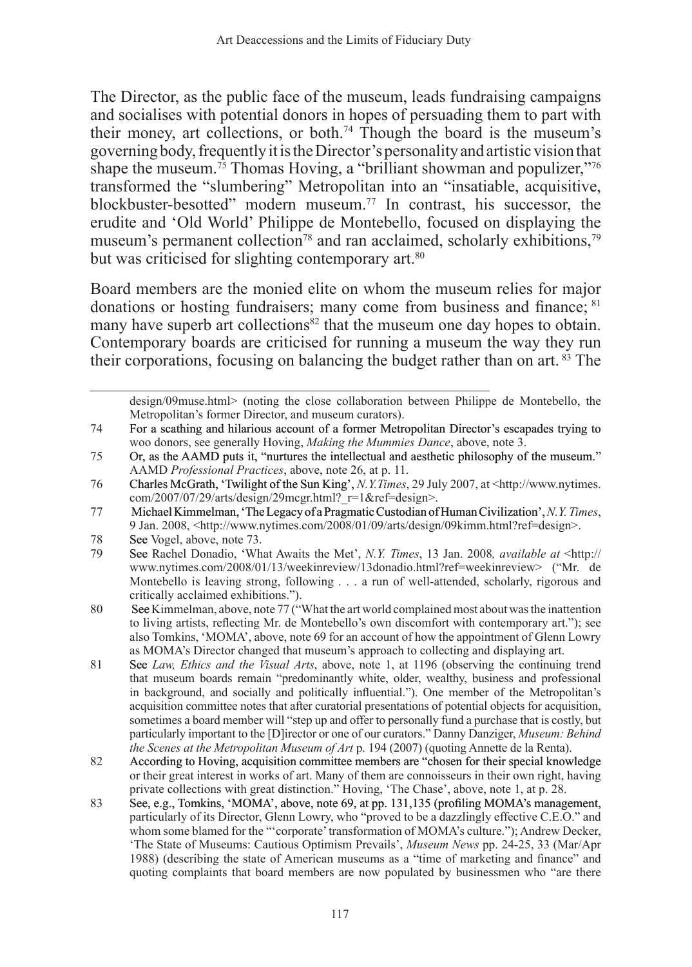The Director, as the public face of the museum, leads fundraising campaigns and socialises with potential donors in hopes of persuading them to part with their money, art collections, or both.74 Though the board is the museum's governing body, frequently it is the Director's personality and artistic vision that shape the museum.<sup>75</sup> Thomas Hoving, a "brilliant showman and populizer,"<sup>76</sup> transformed the "slumbering" Metropolitan into an "insatiable, acquisitive, blockbuster-besotted" modern museum.77 In contrast, his successor, the erudite and 'Old World' Philippe de Montebello, focused on displaying the museum's permanent collection<sup>78</sup> and ran acclaimed, scholarly exhibitions,<sup>79</sup> but was criticised for slighting contemporary art.<sup>80</sup>

Board members are the monied elite on whom the museum relies for major donations or hosting fundraisers; many come from business and finance; <sup>81</sup> many have superb art collections<sup>82</sup> that the museum one day hopes to obtain. Contemporary boards are criticised for running a museum the way they run their corporations, focusing on balancing the budget rather than on art. <sup>83</sup> The

design/09muse.html> (noting the close collaboration between Philippe de Montebello, the Metropolitan's former Director, and museum curators).

<sup>74</sup> For a scathing and hilarious account of a former Metropolitan Director's escapades trying to woo donors, see generally Hoving, *Making the Mummies Dance*, above, note 3.

<sup>75</sup> Or, as the AAMD puts it, "nurtures the intellectual and aesthetic philosophy of the museum." AAMD *Professional Practices*, above, note 26, at p. 11.

<sup>76</sup> Charles McGrath, 'Twilight of the Sun King', *N.Y.Times*, 29 July 2007, at <http://www.nytimes. com/2007/07/29/arts/design/29mcgr.html? r=1&ref=design>.

<sup>77</sup> Michael Kimmelman, �The Legacy of a Pragmatic Custodian of Human Civilization', *N.Y. Times*, 9 Jan. 2008, <http://www.nytimes.com/2008/01/09/arts/design/09kimm.html?ref=design>.

<sup>78</sup> See Vogel, above, note 73.<br>79 See Rachel Donadio 'Wh

<sup>79</sup> See Rachel Donadio, 'What Awaits the Met', *N.Y. Times*, 13 Jan. 2008*, available at* <http:// www.nytimes.com/2008/01/13/weekinreview/13donadio.html?ref=weekinreview> ("Mr. de Montebello is leaving strong, following . . . a run of well-attended, scholarly, rigorous and critically acclaimed exhibitions.").

<sup>80</sup> See Kimmelman, above, note 77 ("What the art world complained most about was the inattention to living artists, reflecting Mr. de Montebello's own discomfort with contemporary art."); see also Tomkins, 'MOMA', above, note 69 for an account of how the appointment of Glenn Lowry as MOMA's Director changed that museum's approach to collecting and displaying art.

<sup>81</sup> See *Law, Ethics and the Visual Arts*, above, note 1, at 1196 (observing the continuing trend that museum boards remain "predominantly white, older, wealthy, business and professional in background, and socially and politically influential."). One member of the Metropolitan's acquisition committee notes that after curatorial presentations of potential objects for acquisition, sometimes a board member will "step up and offer to personally fund a purchase that is costly, but particularly important to the [D]irector or one of our curators." Danny Danziger, *Museum: Behind the Scenes at the Metropolitan Museum of Art* p. 194 (2007) (quoting Annette de la Renta).

<sup>82</sup> According to Hoving, acquisition committee members are "chosen for their special knowledge or their great interest in works of art. Many of them are connoisseurs in their own right, having private collections with great distinction." Hoving, 'The Chase', above, note 1, at p. 28.

<sup>83</sup> See, e.g., Tomkins, 'MOMA', above, note 69, at pp. 131,135 (profiling MOMA's management, particularly of its Director, Glenn Lowry, who "proved to be a dazzlingly effective C.E.O." and whom some blamed for the "'corporate' transformation of MOMA's culture."); Andrew Decker, 'The State of Museums: Cautious Optimism Prevails', *Museum News* pp. 24-25, 33 (Mar/Apr 1988) (describing the state of American museums as a "time of marketing and finance" and quoting complaints that board members are now populated by businessmen who "are there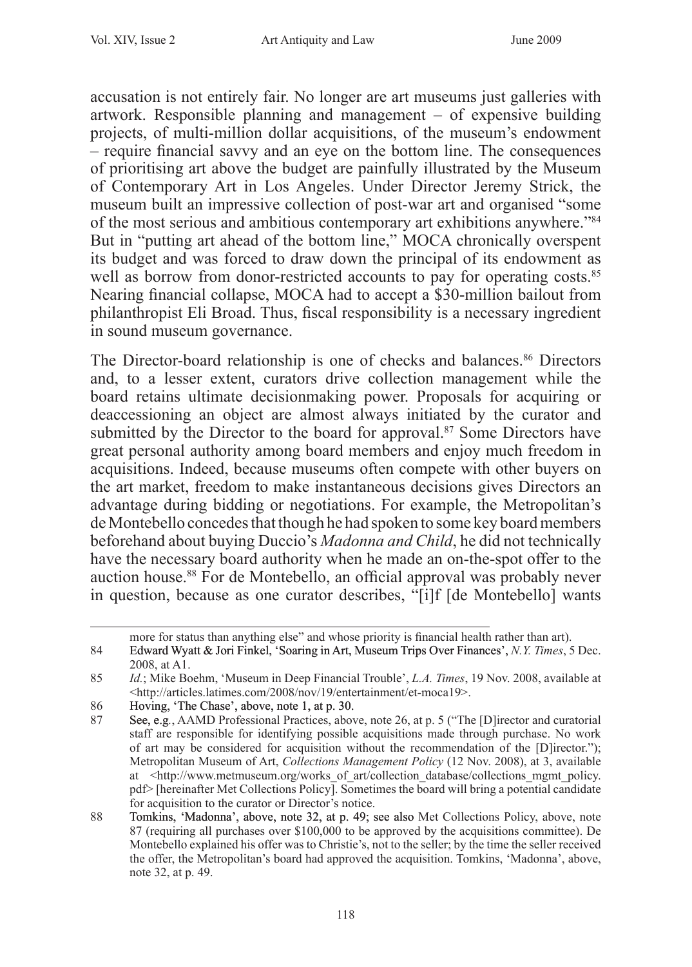accusation is not entirely fair. No longer are art museums just galleries with artwork. Responsible planning and management – of expensive building projects, of multi-million dollar acquisitions, of the museum's endowment – require financial savvy and an eye on the bottom line. The consequences of prioritising art above the budget are painfully illustrated by the Museum of Contemporary Art in Los Angeles. Under Director Jeremy Strick, the museum built an impressive collection of post-war art and organised "some of the most serious and ambitious contemporary art exhibitions anywhere."<sup>84</sup> But in "putting art ahead of the bottom line," MOCA chronically overspent its budget and was forced to draw down the principal of its endowment as well as borrow from donor-restricted accounts to pay for operating costs.<sup>85</sup> Nearing financial collapse, MOCA had to accept a \$30-million bailout from philanthropist Eli Broad. Thus, fiscal responsibility is a necessary ingredient in sound museum governance.

The Director-board relationship is one of checks and balances.<sup>86</sup> Directors and, to a lesser extent, curators drive collection management while the board retains ultimate decisionmaking power. Proposals for acquiring or deaccessioning an object are almost always initiated by the curator and submitted by the Director to the board for approval.<sup>87</sup> Some Directors have great personal authority among board members and enjoy much freedom in acquisitions. Indeed, because museums often compete with other buyers on the art market, freedom to make instantaneous decisions gives Directors an advantage during bidding or negotiations. For example, the Metropolitan's de Montebello concedes that though he had spoken to some key board members beforehand about buying Duccio's *Madonna and Child*, he did not technically have the necessary board authority when he made an on-the-spot offer to the auction house.<sup>88</sup> For de Montebello, an official approval was probably never in question, because as one curator describes, "[i]f [de Montebello] wants

more for status than anything else" and whose priority is financial health rather than art).

<sup>84</sup> Edward Wyatt & Jori Finkel, 'Soaring in Art, Museum Trips Over Finances', *N.Y. Times*, 5 Dec. 2008, at A1.

<sup>85</sup> *Id.*; Mike Boehm, 'Museum in Deep Financial Trouble', *L.A. Times*, 19 Nov. 2008, available at <http://articles.latimes.com/2008/nov/19/entertainment/et-moca19>.

<sup>86</sup> Hoving, 'The Chase', above, note 1, at p. 30.<br>87 See e.g. AAMD Professional Practices above.

<sup>87</sup> See, e.g*.*, AAMD Professional Practices, above, note 26, at p. 5 ("The [D]irector and curatorial staff are responsible for identifying possible acquisitions made through purchase. No work of art may be considered for acquisition without the recommendation of the [D]irector."); Metropolitan Museum of Art, *Collections Management Policy* (12 Nov. 2008), at 3, available at <http://www.metmuseum.org/works of art/collection database/collections mgmt policy. pdf> [hereinafter Met Collections Policy]. Sometimes the board will bring a potential candidate for acquisition to the curator or Director's notice.

<sup>88</sup> Tomkins, 'Madonna', above, note 32, at p. 49; see also Met Collections Policy, above, note 87 (requiring all purchases over \$100,000 to be approved by the acquisitions committee). De Montebello explained his offer was to Christie's, not to the seller; by the time the seller received the offer, the Metropolitan's board had approved the acquisition. Tomkins, 'Madonna', above, note 32, at p. 49.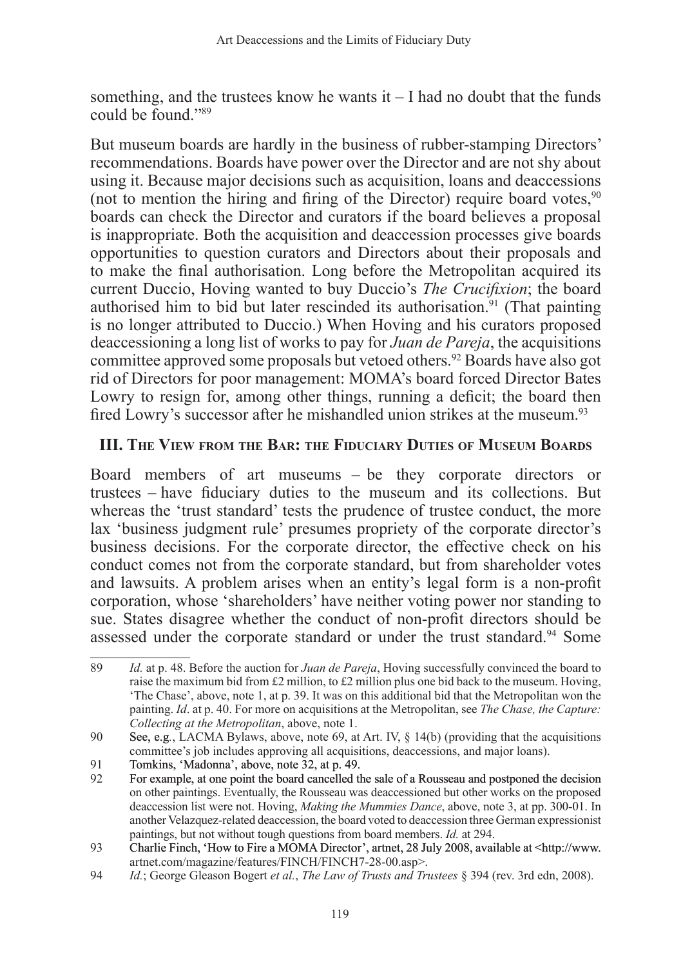something, and the trustees know he wants  $it - I$  had no doubt that the funds could be found "89

But museum boards are hardly in the business of rubber-stamping Directors' recommendations. Boards have power over the Director and are not shy about using it. Because major decisions such as acquisition, loans and deaccessions (not to mention the hiring and firing of the Director) require board votes,  $90$ boards can check the Director and curators if the board believes a proposal is inappropriate. Both the acquisition and deaccession processes give boards opportunities to question curators and Directors about their proposals and to make the final authorisation. Long before the Metropolitan acquired its current Duccio, Hoving wanted to buy Duccio's *The Crucifixion*; the board authorised him to bid but later rescinded its authorisation.<sup>91</sup> (That painting is no longer attributed to Duccio.) When Hoving and his curators proposed deaccessioning a long list of works to pay for *Juan de Pareja*, the acquisitions committee approved some proposals but vetoed others.<sup>92</sup> Boards have also got rid of Directors for poor management: MOMA's board forced Director Bates Lowry to resign for, among other things, running a deficit; the board then fired Lowry's successor after he mishandled union strikes at the museum.<sup>93</sup>

## **III. The View from the Bar: the Fiduciary Duties of Museum Boards**

Board members of art museums – be they corporate directors or trustees – have fiduciary duties to the museum and its collections. But whereas the 'trust standard' tests the prudence of trustee conduct, the more lax 'business judgment rule' presumes propriety of the corporate director's business decisions. For the corporate director, the effective check on his conduct comes not from the corporate standard, but from shareholder votes and lawsuits. A problem arises when an entity's legal form is a non-profit corporation, whose 'shareholders' have neither voting power nor standing to sue. States disagree whether the conduct of non-profit directors should be assessed under the corporate standard or under the trust standard.<sup>94</sup> Some

<sup>89</sup> *Id.* at p. 48. Before the auction for *Juan de Pareja*, Hoving successfully convinced the board to raise the maximum bid from £2 million, to £2 million plus one bid back to the museum. Hoving, 'The Chase', above, note 1, at p. 39. It was on this additional bid that the Metropolitan won the painting. *Id*. at p. 40. For more on acquisitions at the Metropolitan, see *The Chase, the Capture: Collecting at the Metropolitan*, above, note 1.

<sup>90</sup> See, e.g*.*, LACMA Bylaws, above, note 69, at Art. IV, § 14(b) (providing that the acquisitions committee's job includes approving all acquisitions, deaccessions, and major loans).

<sup>91</sup> Tomkins, 'Madonna', above, note 32, at p. 49.

<sup>92</sup> For example, at one point the board cancelled the sale of a Rousseau and postponed the decision on other paintings. Eventually, the Rousseau was deaccessioned but other works on the proposed deaccession list were not. Hoving, *Making the Mummies Dance*, above, note 3, at pp. 300-01. In another Velazquez-related deaccession, the board voted to deaccession three German expressionist paintings, but not without tough questions from board members. *Id.* at 294.

<sup>93</sup> Charlie Finch, 'How to Fire a MOMA Director', artnet, 28 July 2008, available at <http://www. artnet.com/magazine/features/FINCH/FINCH7-28-00.asp>.

<sup>94</sup> *Id.*; George Gleason Bogert *et al.*, *The Law of Trusts and Trustees* § 394 (rev. 3rd edn, 2008).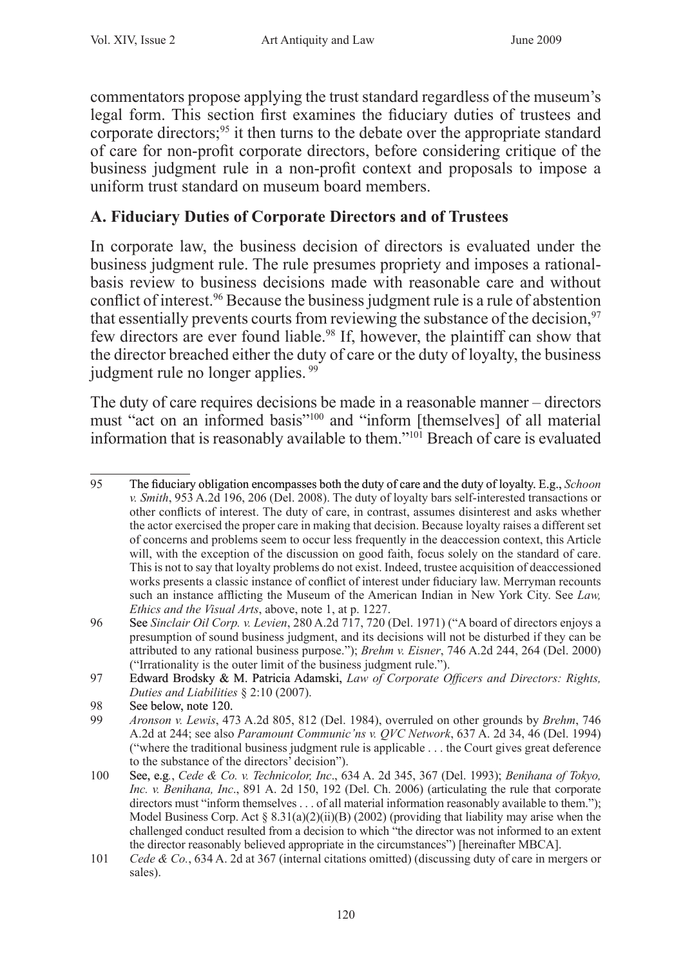commentators propose applying the trust standard regardless of the museum's legal form. This section first examines the fiduciary duties of trustees and corporate directors;<sup>95</sup> it then turns to the debate over the appropriate standard of care for non-profit corporate directors, before considering critique of the business judgment rule in a non-profit context and proposals to impose a uniform trust standard on museum board members.

# **A. Fiduciary Duties of Corporate Directors and of Trustees**

In corporate law, the business decision of directors is evaluated under the business judgment rule. The rule presumes propriety and imposes a rationalbasis review to business decisions made with reasonable care and without conflict of interest.<sup>96</sup> Because the business judgment rule is a rule of abstention that essentially prevents courts from reviewing the substance of the decision,  $97$ few directors are ever found liable.<sup>98</sup> If, however, the plaintiff can show that the director breached either the duty of care or the duty of loyalty, the business judgment rule no longer applies. <sup>99</sup>

The duty of care requires decisions be made in a reasonable manner – directors must "act on an informed basis"<sup>100</sup> and "inform [themselves] of all material information that is reasonably available to them."<sup>101</sup> Breach of care is evaluated

<sup>95</sup> The fiduciary obligation encompasses both the duty of care and the duty of loyalty. E.g., *Schoon v. Smith*, 953 A.2d 196, 206 (Del. 2008). The duty of loyalty bars self-interested transactions or other conflicts of interest. The duty of care, in contrast, assumes disinterest and asks whether the actor exercised the proper care in making that decision. Because loyalty raises a different set of concerns and problems seem to occur less frequently in the deaccession context, this Article will, with the exception of the discussion on good faith, focus solely on the standard of care. This is not to say that loyalty problems do not exist. Indeed, trustee acquisition of deaccessioned works presents a classic instance of conflict of interest under fiduciary law. Merryman recounts such an instance afflicting the Museum of the American Indian in New York City. See *Law, Ethics and the Visual Arts*, above, note 1, at p. 1227.

<sup>96</sup> See *Sinclair Oil Corp. v. Levien*, 280 A.2d 717, 720 (Del. 1971) ("A board of directors enjoys a presumption of sound business judgment, and its decisions will not be disturbed if they can be attributed to any rational business purpose."); *Brehm v. Eisner*, 746 A.2d 244, 264 (Del. 2000) ("Irrationality is the outer limit of the business judgment rule.").

<sup>97</sup> Edward Brodsky & M. Patricia Adamski, *Law of Corporate Officers and Directors: Rights, Duties and Liabilities* § 2:10 (2007).

<sup>98</sup> See below, note 120.<br>99 Aronson y Lewis 47

<sup>99</sup> *Aronson v. Lewis*, 473 A.2d 805, 812 (Del. 1984), overruled on other grounds by *Brehm*, 746 A.2d at 244; see also *Paramount Communic'ns v. QVC Network*, 637 A. 2d 34, 46 (Del. 1994) ("where the traditional business judgment rule is applicable . . . the Court gives great deference to the substance of the directors' decision").

<sup>100</sup> See, e.g*.*, *Cede & Co. v. Technicolor, Inc*., 634 A. 2d 345, 367 (Del. 1993); *Benihana of Tokyo, Inc. v. Benihana, Inc*., 891 A. 2d 150, 192 (Del. Ch. 2006) (articulating the rule that corporate directors must "inform themselves . . . of all material information reasonably available to them."); Model Business Corp. Act § 8.31(a)(2)(ii)(B) (2002) (providing that liability may arise when the challenged conduct resulted from a decision to which "the director was not informed to an extent the director reasonably believed appropriate in the circumstances") [hereinafter MBCA].

<sup>101</sup> *Cede & Co.*, 634 A. 2d at 367 (internal citations omitted) (discussing duty of care in mergers or sales).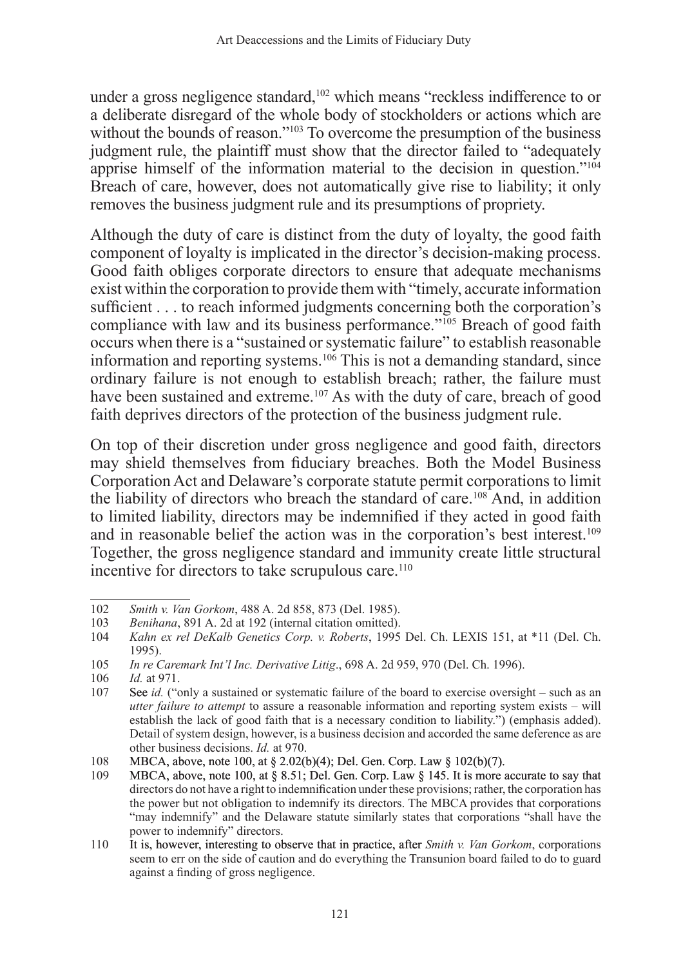under a gross negligence standard,<sup>102</sup> which means "reckless indifference to or a deliberate disregard of the whole body of stockholders or actions which are without the bounds of reason."<sup>103</sup> To overcome the presumption of the business judgment rule, the plaintiff must show that the director failed to "adequately apprise himself of the information material to the decision in question."<sup>104</sup> Breach of care, however, does not automatically give rise to liability; it only removes the business judgment rule and its presumptions of propriety.

Although the duty of care is distinct from the duty of loyalty, the good faith component of loyalty is implicated in the director's decision-making process. Good faith obliges corporate directors to ensure that adequate mechanisms exist within the corporation to provide them with "timely, accurate information sufficient . . . to reach informed judgments concerning both the corporation's compliance with law and its business performance."<sup>105</sup> Breach of good faith occurs when there is a "sustained or systematic failure" to establish reasonable information and reporting systems.<sup>106</sup> This is not a demanding standard, since ordinary failure is not enough to establish breach; rather, the failure must have been sustained and extreme.<sup>107</sup> As with the duty of care, breach of good faith deprives directors of the protection of the business judgment rule.

On top of their discretion under gross negligence and good faith, directors may shield themselves from fiduciary breaches. Both the Model Business Corporation Act and Delaware's corporate statute permit corporations to limit the liability of directors who breach the standard of care.<sup>108</sup> And, in addition to limited liability, directors may be indemnified if they acted in good faith and in reasonable belief the action was in the corporation's best interest.<sup>109</sup> Together, the gross negligence standard and immunity create little structural incentive for directors to take scrupulous care.<sup>110</sup>

<sup>102</sup> *Smith v. Van Gorkom*, 488 A. 2d 858, 873 (Del. 1985).

<sup>103</sup> *Benihana*, 891 A. 2d at 192 (internal citation omitted).

<sup>104</sup> *Kahn ex rel DeKalb Genetics Corp. v. Roberts*, 1995 Del. Ch. LEXIS 151, at \*11 (Del. Ch. 1995).

<sup>105</sup> *In re Caremark Int'l Inc. Derivative Litig*., 698 A. 2d 959, 970 (Del. Ch. 1996).

*Id.* at 971.

<sup>107</sup> See *id.* ("only a sustained or systematic failure of the board to exercise oversight – such as an *utter failure to attempt* to assure a reasonable information and reporting system exists – will establish the lack of good faith that is a necessary condition to liability.") (emphasis added). Detail of system design, however, is a business decision and accorded the same deference as are other business decisions. *Id.* at 970.

<sup>108</sup> MBCA, above, note 100, at § 2.02(b)(4); Del. Gen. Corp. Law § 102(b)(7).<br>109 MBCA, above, note 100, at § 8.51; Del. Gen. Corp. Law § 145. It is more a

MBCA, above, note 100, at § 8.51; Del. Gen. Corp. Law § 145. It is more accurate to say that directors do not have a right to indemnification under these provisions; rather, the corporation has the power but not obligation to indemnify its directors. The MBCA provides that corporations "may indemnify" and the Delaware statute similarly states that corporations "shall have the power to indemnify" directors.

<sup>110</sup> It is, however, interesting to observe that in practice, after *Smith v. Van Gorkom*, corporations seem to err on the side of caution and do everything the Transunion board failed to do to guard against a finding of gross negligence.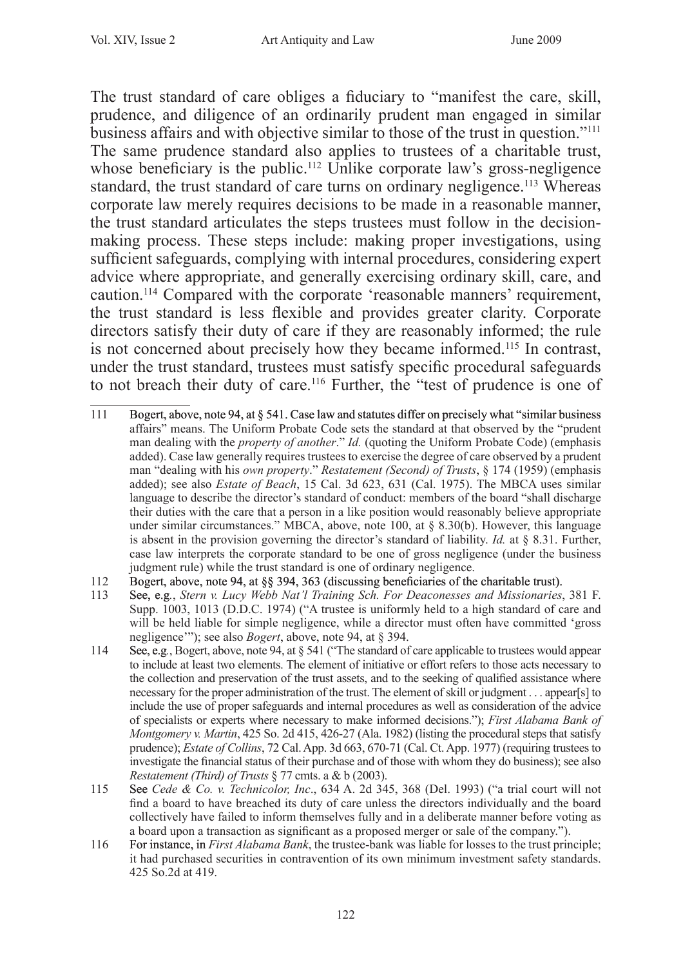The trust standard of care obliges a fiduciary to "manifest the care, skill, prudence, and diligence of an ordinarily prudent man engaged in similar business affairs and with objective similar to those of the trust in question."<sup>111</sup> The same prudence standard also applies to trustees of a charitable trust, whose beneficiary is the public.<sup>112</sup> Unlike corporate law's gross-negligence standard, the trust standard of care turns on ordinary negligence.<sup>113</sup> Whereas corporate law merely requires decisions to be made in a reasonable manner, the trust standard articulates the steps trustees must follow in the decisionmaking process. These steps include: making proper investigations, using sufficient safeguards, complying with internal procedures, considering expert advice where appropriate, and generally exercising ordinary skill, care, and caution.<sup>114</sup> Compared with the corporate 'reasonable manners' requirement, the trust standard is less flexible and provides greater clarity. Corporate directors satisfy their duty of care if they are reasonably informed; the rule is not concerned about precisely how they became informed.<sup>115</sup> In contrast, under the trust standard, trustees must satisfy specific procedural safeguards to not breach their duty of care.<sup>116</sup> Further, the "test of prudence is one of

- 111 Bogert, above, note 94, at § 541. Case law and statutes differ on precisely what "similar business affairs" means. The Uniform Probate Code sets the standard at that observed by the "prudent man dealing with the *property of another*." *Id.* (quoting the Uniform Probate Code) (emphasis added). Case law generally requires trustees to exercise the degree of care observed by a prudent man "dealing with his *own property*." *Restatement (Second) of Trusts*, § 174 (1959) (emphasis added); see also *Estate of Beach*, 15 Cal. 3d 623, 631 (Cal. 1975). The MBCA uses similar language to describe the director's standard of conduct: members of the board "shall discharge their duties with the care that a person in a like position would reasonably believe appropriate under similar circumstances." MBCA, above, note 100, at  $\S$  8.30(b). However, this language is absent in the provision governing the director's standard of liability. *Id.* at § 8.31. Further, case law interprets the corporate standard to be one of gross negligence (under the business judgment rule) while the trust standard is one of ordinary negligence.
- 112 Bogert, above, note 94, at §§ 394, 363 (discussing beneficiaries of the charitable trust).<br>113 See e.g. Stern v Lucy Webb Nat'l Training Sch. For Degconesses and Missionaries
- 113 See, e.g*.*, *Stern v. Lucy Webb Nat'l Training Sch. For Deaconesses and Missionaries*, 381 F. Supp. 1003, 1013 (D.D.C. 1974) ("A trustee is uniformly held to a high standard of care and will be held liable for simple negligence, while a director must often have committed 'gross negligence'"); see also *Bogert*, above, note 94, at § 394.
- 114 See, e.g*.*, Bogert, above, note 94, at § 541 ("The standard of care applicable to trustees would appear to include at least two elements. The element of initiative or effort refers to those acts necessary to the collection and preservation of the trust assets, and to the seeking of qualified assistance where necessary for the proper administration of the trust. The element of skill or judgment . . . appear[s] to include the use of proper safeguards and internal procedures as well as consideration of the advice of specialists or experts where necessary to make informed decisions."); *First Alabama Bank of Montgomery v. Martin*, 425 So. 2d 415, 426-27 (Ala. 1982) (listing the procedural steps that satisfy prudence); *Estate of Collins*, 72 Cal. App. 3d 663, 670-71 (Cal. Ct. App. 1977) (requiring trustees to investigate the financial status of their purchase and of those with whom they do business); see also *Restatement (Third) of Trusts* § 77 cmts. a & b (2003).
- 115 See *Cede & Co. v. Technicolor, Inc*., 634 A. 2d 345, 368 (Del. 1993) ("a trial court will not find a board to have breached its duty of care unless the directors individually and the board collectively have failed to inform themselves fully and in a deliberate manner before voting as a board upon a transaction as significant as a proposed merger or sale of the company.").
- 116 For instance, in *First Alabama Bank*, the trustee-bank was liable for losses to the trust principle; it had purchased securities in contravention of its own minimum investment safety standards. 425 So.2d at 419.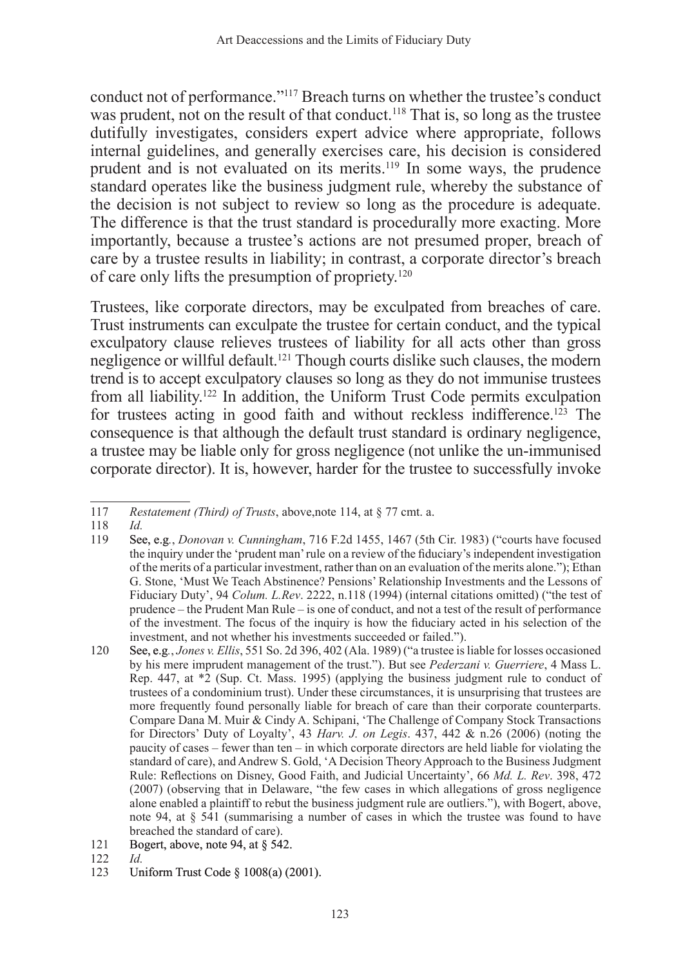conduct not of performance."117 Breach turns on whether the trustee's conduct was prudent, not on the result of that conduct.<sup>118</sup> That is, so long as the trustee dutifully investigates, considers expert advice where appropriate, follows internal guidelines, and generally exercises care, his decision is considered prudent and is not evaluated on its merits.119 In some ways, the prudence standard operates like the business judgment rule, whereby the substance of the decision is not subject to review so long as the procedure is adequate. The difference is that the trust standard is procedurally more exacting. More importantly, because a trustee's actions are not presumed proper, breach of care by a trustee results in liability; in contrast, a corporate director's breach of care only lifts the presumption of propriety.120

Trustees, like corporate directors, may be exculpated from breaches of care. Trust instruments can exculpate the trustee for certain conduct, and the typical exculpatory clause relieves trustees of liability for all acts other than gross negligence or willful default.121 Though courts dislike such clauses, the modern trend is to accept exculpatory clauses so long as they do not immunise trustees from all liability.122 In addition, the Uniform Trust Code permits exculpation for trustees acting in good faith and without reckless indifference.<sup>123</sup> The consequence is that although the default trust standard is ordinary negligence, a trustee may be liable only for gross negligence (not unlike the un-immunised corporate director). It is, however, harder for the trustee to successfully invoke

118 *Id.*

- 121 Bogert, above, note 94, at § 542.
- 122 *Id.*
- Uniform Trust Code § 1008(a) (2001).

<sup>117</sup> *Restatement (Third) of Trusts*, above,note 114, at § 77 cmt. a.

<sup>119</sup> See, e.g*.*, *Donovan v. Cunningham*, 716 F.2d 1455, 1467 (5th Cir. 1983) ("courts have focused the inquiry under the 'prudent man' rule on a review of the fiduciary's independent investigation of the merits of a particular investment, rather than on an evaluation of the merits alone."); Ethan G. Stone, 'Must We Teach Abstinence? Pensions' Relationship Investments and the Lessons of Fiduciary Duty', 94 *Colum. L.Rev*. 2222, n.118 (1994) (internal citations omitted) ("the test of prudence – the Prudent Man Rule – is one of conduct, and not a test of the result of performance of the investment. The focus of the inquiry is how the fiduciary acted in his selection of the investment, and not whether his investments succeeded or failed.").

<sup>120</sup> See, e.g*.*, *Jones v. Ellis*, 551 So. 2d 396, 402 (Ala. 1989) ("a trustee is liable for losses occasioned by his mere imprudent management of the trust."). But see *Pederzani v. Guerriere*, 4 Mass L. Rep. 447, at \*2 (Sup. Ct. Mass. 1995) (applying the business judgment rule to conduct of trustees of a condominium trust). Under these circumstances, it is unsurprising that trustees are more frequently found personally liable for breach of care than their corporate counterparts. Compare Dana M. Muir & Cindy A. Schipani, 'The Challenge of Company Stock Transactions for Directors' Duty of Loyalty', 43 *Harv. J. on Legis*. 437, 442 & n.26 (2006) (noting the paucity of cases – fewer than ten – in which corporate directors are held liable for violating the standard of care), and Andrew S. Gold, 'A Decision Theory Approach to the Business Judgment Rule: Reflections on Disney, Good Faith, and Judicial Uncertainty', 66 *Md. L. Rev*. 398, 472 (2007) (observing that in Delaware, "the few cases in which allegations of gross negligence alone enabled a plaintiff to rebut the business judgment rule are outliers."), with Bogert, above, note 94, at  $\S$  541 (summarising a number of cases in which the trustee was found to have breached the standard of care).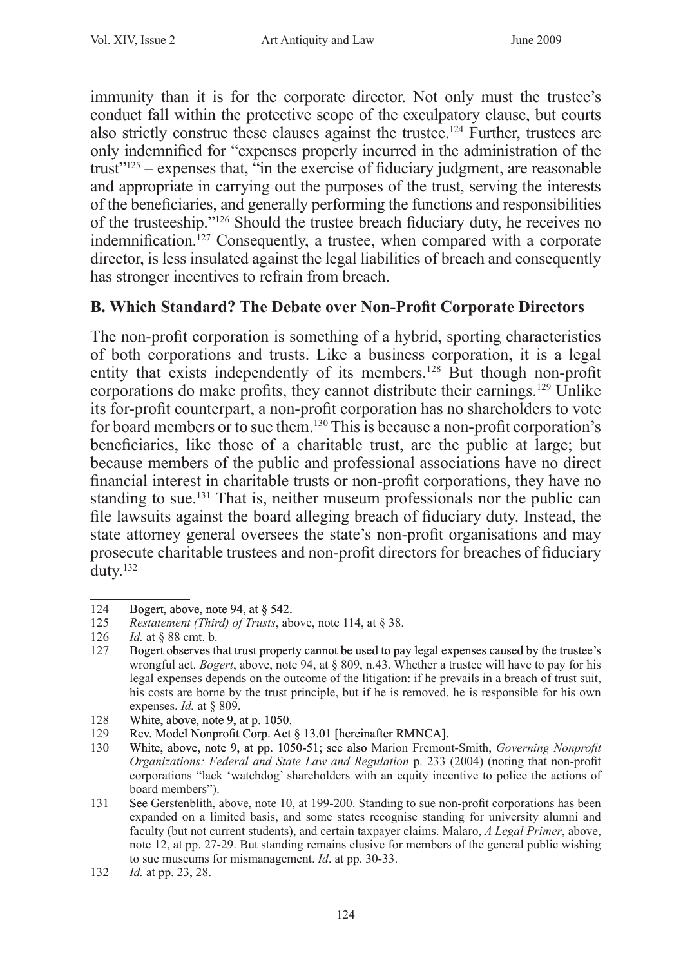immunity than it is for the corporate director. Not only must the trustee's conduct fall within the protective scope of the exculpatory clause, but courts also strictly construe these clauses against the trustee.124 Further, trustees are only indemnified for "expenses properly incurred in the administration of the trust $125$  – expenses that, "in the exercise of fiduciary judgment, are reasonable and appropriate in carrying out the purposes of the trust, serving the interests of the beneficiaries, and generally performing the functions and responsibilities of the trusteeship."126 Should the trustee breach fiduciary duty, he receives no indemnification.<sup>127</sup> Consequently, a trustee, when compared with a corporate director, is less insulated against the legal liabilities of breach and consequently has stronger incentives to refrain from breach.

# **B. Which Standard? The Debate over Non-Profit Corporate Directors**

The non-profit corporation is something of a hybrid, sporting characteristics of both corporations and trusts. Like a business corporation, it is a legal entity that exists independently of its members.<sup>128</sup> But though non-profit corporations do make profits, they cannot distribute their earnings.129 Unlike its for-profit counterpart, a non-profit corporation has no shareholders to vote for board members or to sue them.<sup>130</sup> This is because a non-profit corporation's beneficiaries, like those of a charitable trust, are the public at large; but because members of the public and professional associations have no direct financial interest in charitable trusts or non-profit corporations, they have no standing to sue.<sup>131</sup> That is, neither museum professionals nor the public can file lawsuits against the board alleging breach of fiduciary duty. Instead, the state attorney general oversees the state's non-profit organisations and may prosecute charitable trustees and non-profit directors for breaches of fiduciary duty.132

<sup>124</sup> Bogert, above, note 94, at § 542.

<sup>125</sup> *Restatement (Third) of Trusts*, above, note 114, at § 38.<br>126 *Id.* at § 88 cmt. b.

*Id.* at § 88 cmt. b.

<sup>127</sup> Bogert observes that trust property cannot be used to pay legal expenses caused by the trustee's wrongful act. *Bogert*, above, note 94, at § 809, n.43. Whether a trustee will have to pay for his legal expenses depends on the outcome of the litigation: if he prevails in a breach of trust suit, his costs are borne by the trust principle, but if he is removed, he is responsible for his own expenses. *Id.* at § 809.

<sup>128</sup> White, above, note 9, at p. 1050.<br>129 Rev. Model Nonprofit Corp. Act

<sup>129</sup> Rev. Model Nonprofit Corp. Act § 13.01 [hereinafter RMNCA].<br>130 White. above. note 9. at pp. 1050-51: see also Marion Fremon

<sup>130</sup> White, above, note 9, at pp. 1050-51; see also Marion Fremont-Smith, *Governing Nonprofit Organizations: Federal and State Law and Regulation* p. 233 (2004) (noting that non-profit corporations "lack 'watchdog' shareholders with an equity incentive to police the actions of board members").

<sup>131</sup> See Gerstenblith, above, note 10, at 199-200. Standing to sue non-profit corporations has been expanded on a limited basis, and some states recognise standing for university alumni and faculty (but not current students), and certain taxpayer claims. Malaro, *A Legal Primer*, above, note 12, at pp. 27-29. But standing remains elusive for members of the general public wishing to sue museums for mismanagement. *Id*. at pp. 30-33.

<sup>132</sup> *Id.* at pp. 23, 28.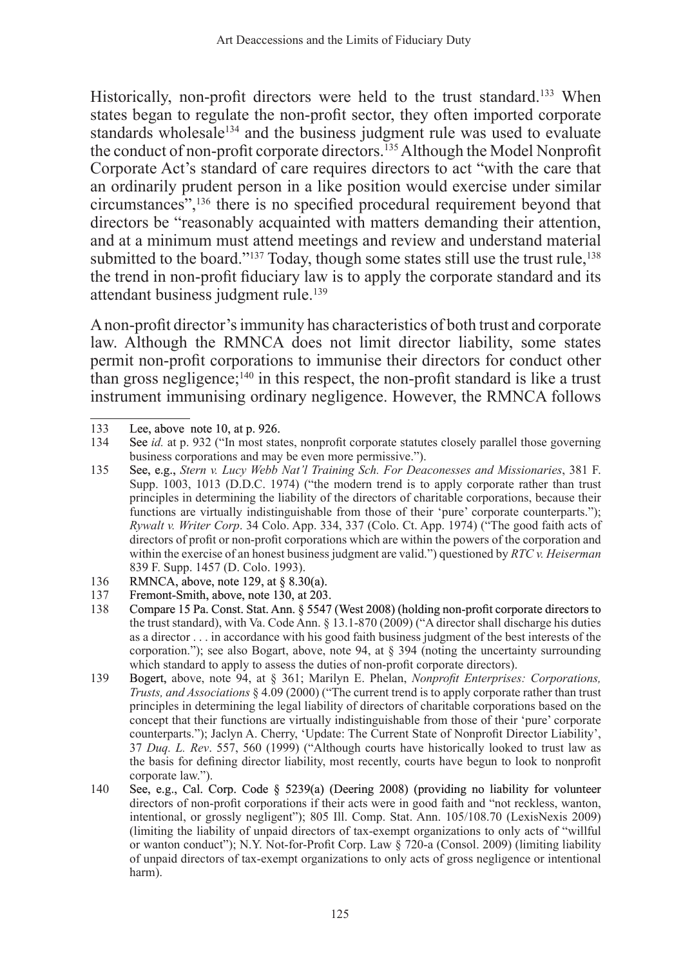Historically, non-profit directors were held to the trust standard.<sup>133</sup> When states began to regulate the non-profit sector, they often imported corporate standards wholesale<sup>134</sup> and the business judgment rule was used to evaluate the conduct of non-profit corporate directors.<sup>135</sup> Although the Model Nonprofit Corporate Act's standard of care requires directors to act "with the care that an ordinarily prudent person in a like position would exercise under similar circumstances",<sup>136</sup> there is no specified procedural requirement beyond that directors be "reasonably acquainted with matters demanding their attention, and at a minimum must attend meetings and review and understand material submitted to the board."<sup>137</sup> Today, though some states still use the trust rule,<sup>138</sup> the trend in non-profit fiduciary law is to apply the corporate standard and its attendant business judgment rule.<sup>139</sup>

A non-profit director's immunity has characteristics of both trust and corporate law. Although the RMNCA does not limit director liability, some states permit non-profit corporations to immunise their directors for conduct other than gross negligence;<sup>140</sup> in this respect, the non-profit standard is like a trust instrument immunising ordinary negligence. However, the RMNCA follows

- 136 RMNCA, above, note 129, at § 8.30(a).<br>137 Fremont-Smith above note 130 at 203
- Fremont-Smith, above, note 130, at 203.
- 138 Compare 15 Pa. Const. Stat. Ann. § 5547 (West 2008) (holding non-profit corporate directors to the trust standard), with Va. Code Ann. § 13.1-870 (2009) ("A director shall discharge his duties as a director . . . in accordance with his good faith business judgment of the best interests of the corporation."); see also Bogart, above, note 94, at § 394 (noting the uncertainty surrounding which standard to apply to assess the duties of non-profit corporate directors).
- 139 Bogert, above, note 94, at § 361; Marilyn E. Phelan, *Nonprofit Enterprises: Corporations, Trusts, and Associations* § 4.09 (2000) ("The current trend is to apply corporate rather than trust principles in determining the legal liability of directors of charitable corporations based on the concept that their functions are virtually indistinguishable from those of their 'pure' corporate counterparts."); Jaclyn A. Cherry, 'Update: The Current State of Nonprofit Director Liability', 37 *Duq. L. Rev*. 557, 560 (1999) ("Although courts have historically looked to trust law as the basis for defining director liability, most recently, courts have begun to look to nonprofit corporate law.").
- 140 See, e.g., Cal. Corp. Code § 5239(a) (Deering 2008) (providing no liability for volunteer directors of non-profit corporations if their acts were in good faith and "not reckless, wanton, intentional, or grossly negligent"); 805 Ill. Comp. Stat. Ann. 105/108.70 (LexisNexis 2009) (limiting the liability of unpaid directors of tax-exempt organizations to only acts of "willful or wanton conduct"); N.Y. Not-for-Profit Corp. Law § 720-a (Consol. 2009) (limiting liability of unpaid directors of tax-exempt organizations to only acts of gross negligence or intentional harm).

<sup>133</sup> Lee, above note 10, at p. 926.<br>134 See *id.* at p. 932 ("In most stat

See *id.* at p. 932 ("In most states, nonprofit corporate statutes closely parallel those governing business corporations and may be even more permissive.").

<sup>135</sup> See, e.g., *Stern v. Lucy Webb Nat'l Training Sch. For Deaconesses and Missionaries*, 381 F. Supp. 1003, 1013 (D.D.C. 1974) ("the modern trend is to apply corporate rather than trust principles in determining the liability of the directors of charitable corporations, because their functions are virtually indistinguishable from those of their 'pure' corporate counterparts."); *Rywalt v. Writer Corp*. 34 Colo. App. 334, 337 (Colo. Ct. App. 1974) ("The good faith acts of directors of profit or non-profit corporations which are within the powers of the corporation and within the exercise of an honest business judgment are valid.") questioned by *RTC v. Heiserman* 839 F. Supp. 1457 (D. Colo. 1993).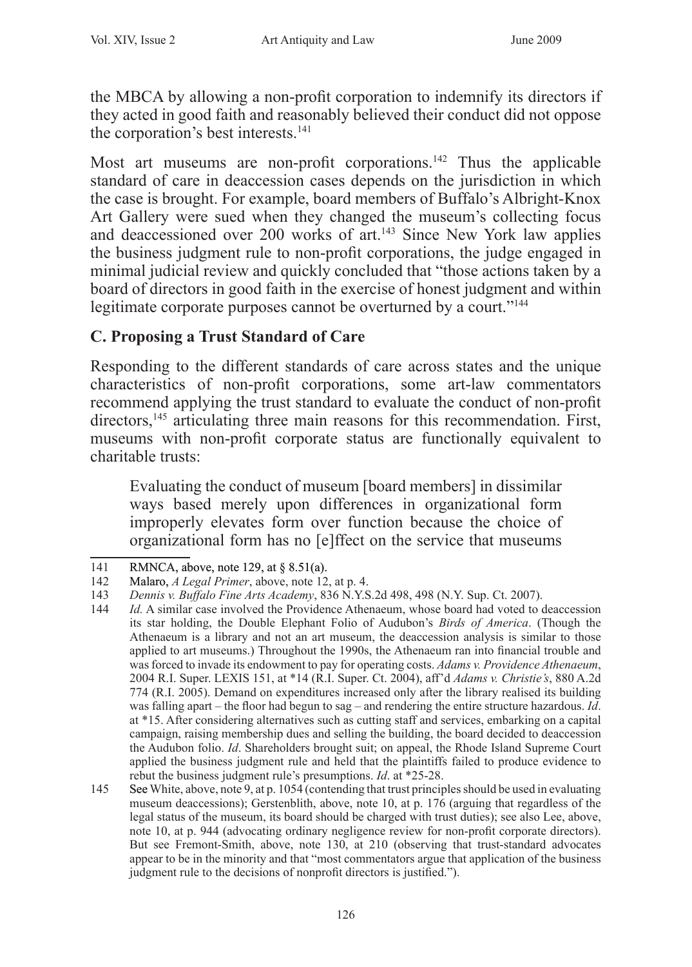the MBCA by allowing a non-profit corporation to indemnify its directors if they acted in good faith and reasonably believed their conduct did not oppose the corporation's best interests.<sup>141</sup>

Most art museums are non-profit corporations.<sup>142</sup> Thus the applicable standard of care in deaccession cases depends on the jurisdiction in which the case is brought. For example, board members of Buffalo's Albright-Knox Art Gallery were sued when they changed the museum's collecting focus and deaccessioned over 200 works of art.<sup>143</sup> Since New York law applies the business judgment rule to non-profit corporations, the judge engaged in minimal judicial review and quickly concluded that "those actions taken by a board of directors in good faith in the exercise of honest judgment and within legitimate corporate purposes cannot be overturned by a court."<sup>144</sup>

# **C. Proposing a Trust Standard of Care**

Responding to the different standards of care across states and the unique characteristics of non-profit corporations, some art-law commentators recommend applying the trust standard to evaluate the conduct of non-profit directors,<sup>145</sup> articulating three main reasons for this recommendation. First, museums with non-profit corporate status are functionally equivalent to charitable trusts:

Evaluating the conduct of museum [board members] in dissimilar ways based merely upon differences in organizational form improperly elevates form over function because the choice of organizational form has no [e]ffect on the service that museums

<sup>141</sup> RMNCA, above, note 129, at § 8.51(a).

<sup>142</sup> Malaro, *A Legal Primer*, above, note 12, at p. 4.

<sup>143</sup> *Dennis v. Buffalo Fine Arts Academy*, 836 N.Y.S.2d 498, 498 (N.Y. Sup. Ct. 2007).

<sup>144</sup> *Id.* A similar case involved the Providence Athenaeum, whose board had voted to deaccession its star holding, the Double Elephant Folio of Audubon's *Birds of America*. (Though the Athenaeum is a library and not an art museum, the deaccession analysis is similar to those applied to art museums.) Throughout the 1990s, the Athenaeum ran into financial trouble and was forced to invade its endowment to pay for operating costs. *Adams v. Providence Athenaeum*, 2004 R.I. Super. LEXIS 151, at \*14 (R.I. Super. Ct. 2004), aff'd *Adams v. Christie's*, 880 A.2d 774 (R.I. 2005). Demand on expenditures increased only after the library realised its building was falling apart – the floor had begun to sag – and rendering the entire structure hazardous. *Id*. at \*15. After considering alternatives such as cutting staff and services, embarking on a capital campaign, raising membership dues and selling the building, the board decided to deaccession the Audubon folio. *Id*. Shareholders brought suit; on appeal, the Rhode Island Supreme Court applied the business judgment rule and held that the plaintiffs failed to produce evidence to rebut the business judgment rule's presumptions. *Id*. at \*25-28.

<sup>145</sup> See White, above, note 9, at p. 1054 (contending that trust principles should be used in evaluating museum deaccessions); Gerstenblith, above, note 10, at p. 176 (arguing that regardless of the legal status of the museum, its board should be charged with trust duties); see also Lee, above, note 10, at p. 944 (advocating ordinary negligence review for non-profit corporate directors). But see Fremont-Smith, above, note 130, at 210 (observing that trust-standard advocates appear to be in the minority and that "most commentators argue that application of the business judgment rule to the decisions of nonprofit directors is justified.").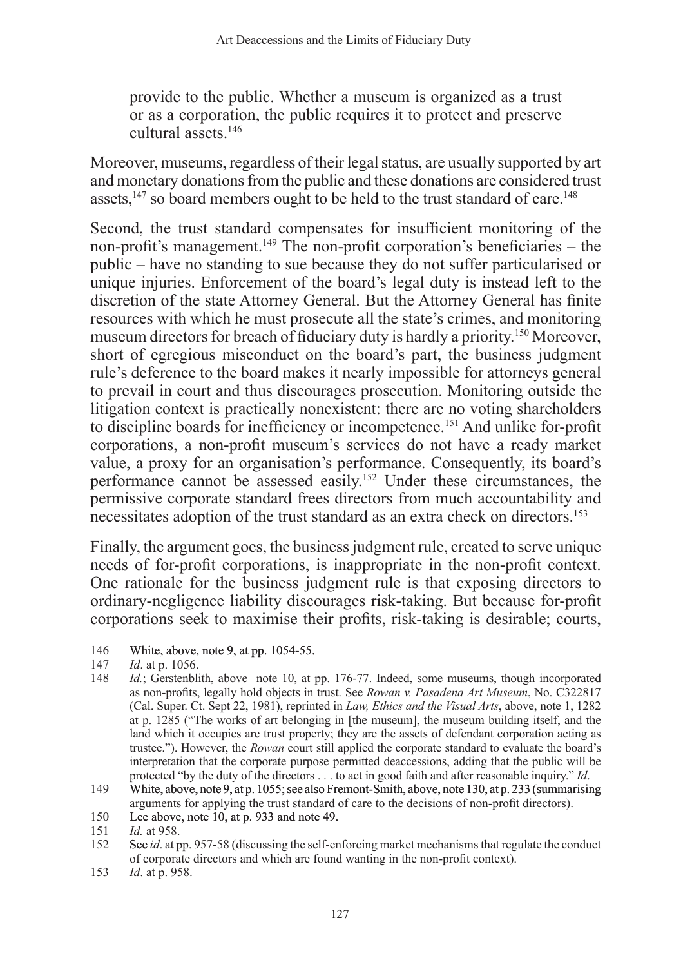provide to the public. Whether a museum is organized as a trust or as a corporation, the public requires it to protect and preserve cultural assets.<sup>146</sup>

Moreover, museums, regardless of their legal status, are usually supported by art and monetary donations from the public and these donations are considered trust assets, $147$  so board members ought to be held to the trust standard of care.<sup>148</sup>

Second, the trust standard compensates for insufficient monitoring of the non-profit's management.<sup>149</sup> The non-profit corporation's beneficiaries – the public – have no standing to sue because they do not suffer particularised or unique injuries. Enforcement of the board's legal duty is instead left to the discretion of the state Attorney General. But the Attorney General has finite resources with which he must prosecute all the state's crimes, and monitoring museum directors for breach of fiduciary duty is hardly a priority.<sup>150</sup> Moreover, short of egregious misconduct on the board's part, the business judgment rule's deference to the board makes it nearly impossible for attorneys general to prevail in court and thus discourages prosecution. Monitoring outside the litigation context is practically nonexistent: there are no voting shareholders to discipline boards for inefficiency or incompetence.<sup>151</sup> And unlike for-profit corporations, a non-profit museum's services do not have a ready market value, a proxy for an organisation's performance. Consequently, its board's performance cannot be assessed easily.152 Under these circumstances, the permissive corporate standard frees directors from much accountability and necessitates adoption of the trust standard as an extra check on directors.<sup>153</sup>

Finally, the argument goes, the business judgment rule, created to serve unique needs of for-profit corporations, is inappropriate in the non-profit context. One rationale for the business judgment rule is that exposing directors to ordinary-negligence liability discourages risk-taking. But because for-profit corporations seek to maximise their profits, risk-taking is desirable; courts,

<sup>146</sup> White, above, note 9, at pp. 1054-55.<br>147 *Id.* at p. 1056.

<sup>147</sup> *Id*. at p. 1056.

*Id.*; Gerstenblith, above note 10, at pp. 176-77. Indeed, some museums, though incorporated as non-profits, legally hold objects in trust. See *Rowan v. Pasadena Art Museum*, No. C322817 (Cal. Super. Ct. Sept 22, 1981), reprinted in *Law, Ethics and the Visual Arts*, above, note 1, 1282 at p. 1285 ("The works of art belonging in [the museum], the museum building itself, and the land which it occupies are trust property; they are the assets of defendant corporation acting as trustee."). However, the *Rowan* court still applied the corporate standard to evaluate the board's interpretation that the corporate purpose permitted deaccessions, adding that the public will be protected "by the duty of the directors . . . to act in good faith and after reasonable inquiry." *Id*.

<sup>149</sup> White, above, note 9, at p. 1055; see also Fremont-Smith, above, note 130, at p. 233 (summarising arguments for applying the trust standard of care to the decisions of non-profit directors).

<sup>150</sup> Lee above, note 10, at p. 933 and note 49.

<sup>151</sup> *Id.* at 958.

See *id.* at pp. 957-58 (discussing the self-enforcing market mechanisms that regulate the conduct of corporate directors and which are found wanting in the non-profit context).

<sup>153</sup> *Id*. at p. 958.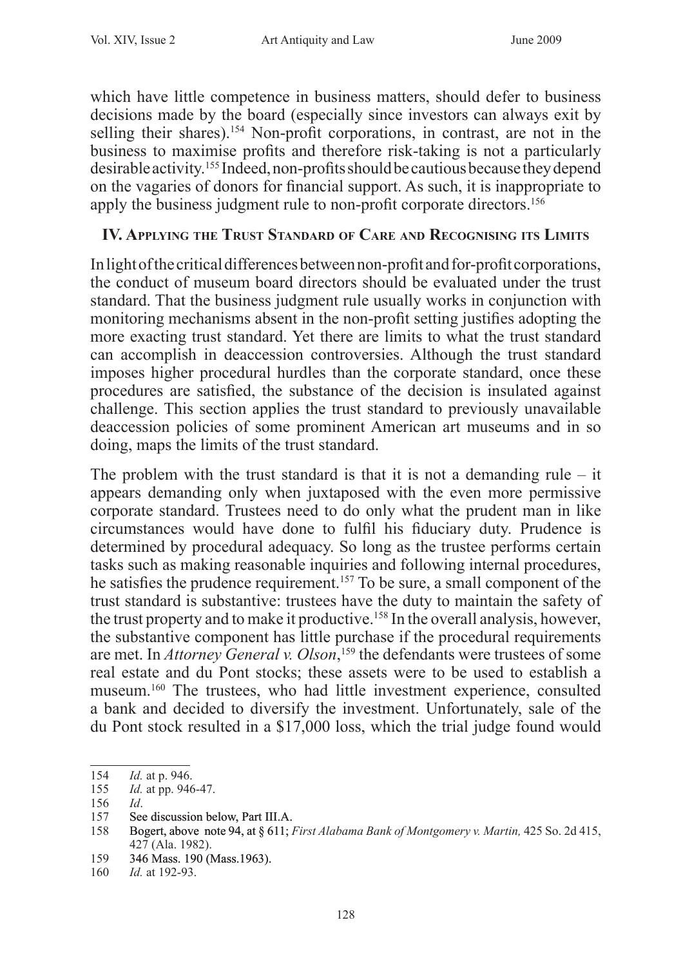which have little competence in business matters, should defer to business decisions made by the board (especially since investors can always exit by selling their shares).<sup>154</sup> Non-profit corporations, in contrast, are not in the business to maximise profits and therefore risk-taking is not a particularly desirable activity.<sup>155</sup> Indeed, non-profits should be cautious because they depend on the vagaries of donors for financial support. As such, it is inappropriate to apply the business judgment rule to non-profit corporate directors.<sup>156</sup>

## **IV. Applying the Trust Standard of Care and Recognising its Limits**

In light of the critical differences between non-profit and for-profit corporations, the conduct of museum board directors should be evaluated under the trust standard. That the business judgment rule usually works in conjunction with monitoring mechanisms absent in the non-profit setting justifies adopting the more exacting trust standard. Yet there are limits to what the trust standard can accomplish in deaccession controversies. Although the trust standard imposes higher procedural hurdles than the corporate standard, once these procedures are satisfied, the substance of the decision is insulated against challenge. This section applies the trust standard to previously unavailable deaccession policies of some prominent American art museums and in so doing, maps the limits of the trust standard.

The problem with the trust standard is that it is not a demanding rule  $-$  it appears demanding only when juxtaposed with the even more permissive corporate standard. Trustees need to do only what the prudent man in like circumstances would have done to fulfil his fiduciary duty. Prudence is determined by procedural adequacy. So long as the trustee performs certain tasks such as making reasonable inquiries and following internal procedures, he satisfies the prudence requirement.<sup>157</sup> To be sure, a small component of the trust standard is substantive: trustees have the duty to maintain the safety of the trust property and to make it productive.<sup>158</sup> In the overall analysis, however, the substantive component has little purchase if the procedural requirements are met. In *Attorney General v. Olson*, <sup>159</sup> the defendants were trustees of some real estate and du Pont stocks; these assets were to be used to establish a museum.<sup>160</sup> The trustees, who had little investment experience, consulted a bank and decided to diversify the investment. Unfortunately, sale of the du Pont stock resulted in a \$17,000 loss, which the trial judge found would

159 346 Mass. 190 (Mass.1963).

<sup>154</sup> *Id.* at p. 946.

<sup>155</sup> *Id.* at pp. 946-47.

<sup>156</sup> *Id*.

<sup>157</sup> See discussion below, Part III.A.

<sup>158</sup> Bogert, above note 94, at § 611; *First Alabama Bank of Montgomery v. Martin,* 425 So. 2d 415, 427 (Ala. 1982).

<sup>160</sup> *Id.* at 192-93.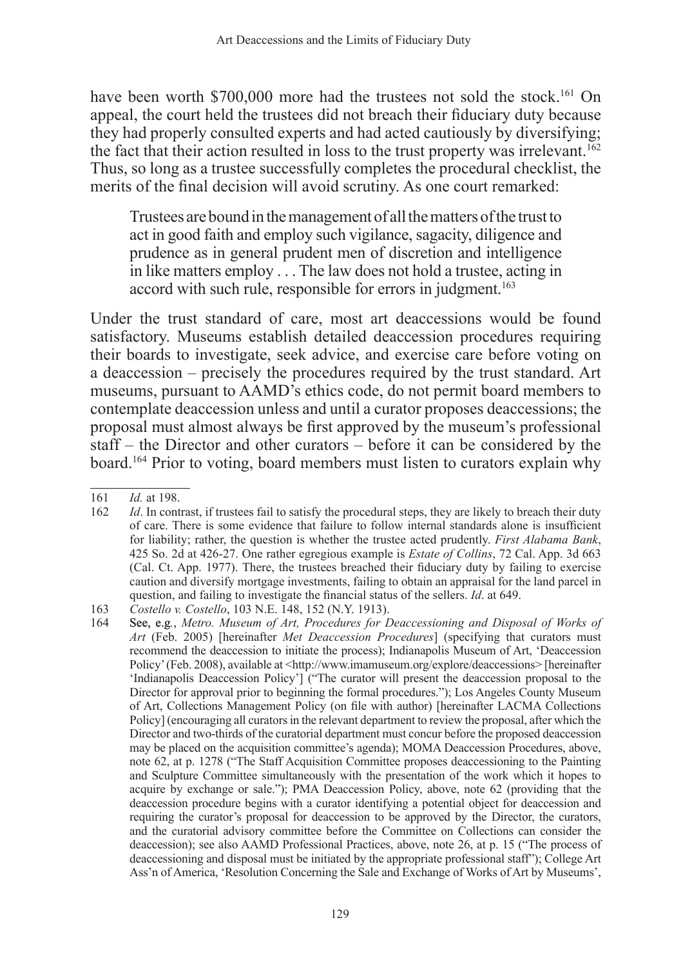have been worth \$700,000 more had the trustees not sold the stock.<sup>161</sup> On appeal, the court held the trustees did not breach their fiduciary duty because they had properly consulted experts and had acted cautiously by diversifying; the fact that their action resulted in loss to the trust property was irrelevant.<sup>162</sup> Thus, so long as a trustee successfully completes the procedural checklist, the merits of the final decision will avoid scrutiny. As one court remarked:

Trustees are bound in the management of all the matters of the trust to act in good faith and employ such vigilance, sagacity, diligence and prudence as in general prudent men of discretion and intelligence in like matters employ . . . The law does not hold a trustee, acting in accord with such rule, responsible for errors in judgment.<sup>163</sup>

Under the trust standard of care, most art deaccessions would be found satisfactory. Museums establish detailed deaccession procedures requiring their boards to investigate, seek advice, and exercise care before voting on a deaccession – precisely the procedures required by the trust standard. Art museums, pursuant to AAMD's ethics code, do not permit board members to contemplate deaccession unless and until a curator proposes deaccessions; the proposal must almost always be first approved by the museum's professional staff – the Director and other curators – before it can be considered by the board.<sup>164</sup> Prior to voting, board members must listen to curators explain why

<sup>161</sup> *Id.* at 198.

*Id*. In contrast, if trustees fail to satisfy the procedural steps, they are likely to breach their duty of care. There is some evidence that failure to follow internal standards alone is insufficient for liability; rather, the question is whether the trustee acted prudently. *First Alabama Bank*, 425 So. 2d at 426-27. One rather egregious example is *Estate of Collins*, 72 Cal. App. 3d 663 (Cal. Ct. App. 1977). There, the trustees breached their fiduciary duty by failing to exercise caution and diversify mortgage investments, failing to obtain an appraisal for the land parcel in question, and failing to investigate the financial status of the sellers. *Id*. at 649.

<sup>163</sup> *Costello v. Costello*, 103 N.E. 148, 152 (N.Y. 1913).

<sup>164</sup> See, e.g*.*, *Metro. Museum of Art, Procedures for Deaccessioning and Disposal of Works of Art* (Feb. 2005) [hereinafter *Met Deaccession Procedures*] (specifying that curators must recommend the deaccession to initiate the process); Indianapolis Museum of Art, 'Deaccession Policy' (Feb. 2008), available at <http://www.imamuseum.org/explore/deaccessions> [hereinafter 'Indianapolis Deaccession Policy'] ("The curator will present the deaccession proposal to the Director for approval prior to beginning the formal procedures."); Los Angeles County Museum of Art, Collections Management Policy (on file with author) [hereinafter LACMA Collections Policy] (encouraging all curators in the relevant department to review the proposal, after which the Director and two-thirds of the curatorial department must concur before the proposed deaccession may be placed on the acquisition committee's agenda); MOMA Deaccession Procedures, above, note 62, at p. 1278 ("The Staff Acquisition Committee proposes deaccessioning to the Painting and Sculpture Committee simultaneously with the presentation of the work which it hopes to acquire by exchange or sale."); PMA Deaccession Policy, above, note 62 (providing that the deaccession procedure begins with a curator identifying a potential object for deaccession and requiring the curator's proposal for deaccession to be approved by the Director, the curators, and the curatorial advisory committee before the Committee on Collections can consider the deaccession); see also AAMD Professional Practices, above, note 26, at p. 15 ("The process of deaccessioning and disposal must be initiated by the appropriate professional staff"); College Art Ass'n of America, 'Resolution Concerning the Sale and Exchange of Works of Art by Museums',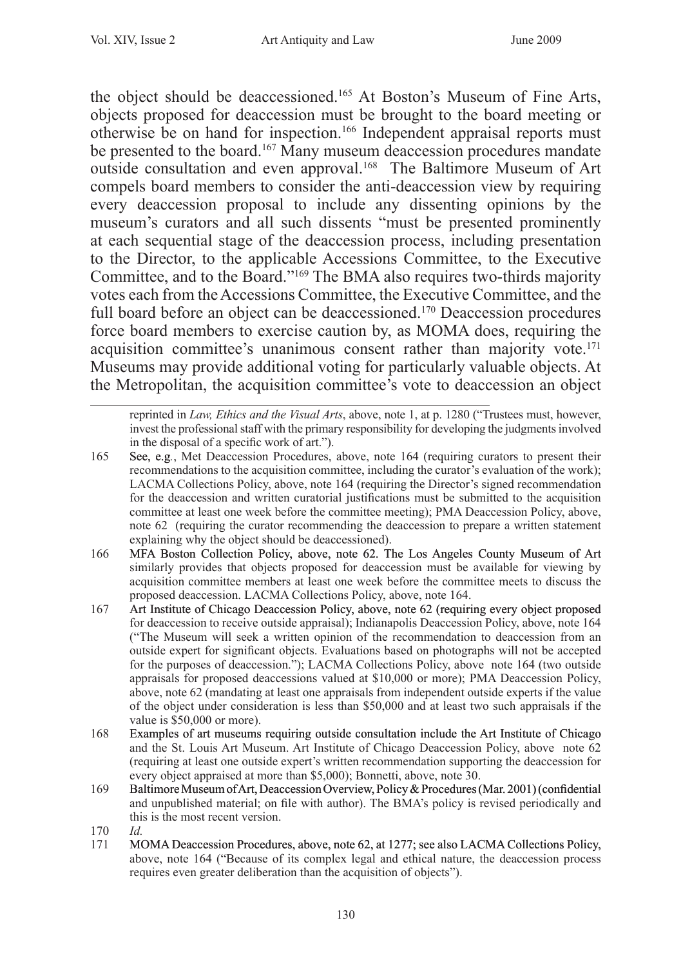the object should be deaccessioned.<sup>165</sup> At Boston's Museum of Fine Arts, objects proposed for deaccession must be brought to the board meeting or otherwise be on hand for inspection.<sup>166</sup> Independent appraisal reports must be presented to the board.167 Many museum deaccession procedures mandate outside consultation and even approval.<sup>168</sup> The Baltimore Museum of Art compels board members to consider the anti-deaccession view by requiring every deaccession proposal to include any dissenting opinions by the museum's curators and all such dissents "must be presented prominently at each sequential stage of the deaccession process, including presentation to the Director, to the applicable Accessions Committee, to the Executive Committee, and to the Board."169 The BMA also requires two-thirds majority votes each from the Accessions Committee, the Executive Committee, and the full board before an object can be deaccessioned.170 Deaccession procedures force board members to exercise caution by, as MOMA does, requiring the acquisition committee's unanimous consent rather than majority vote.<sup>171</sup> Museums may provide additional voting for particularly valuable objects. At the Metropolitan, the acquisition committee's vote to deaccession an object

reprinted in *Law, Ethics and the Visual Arts*, above, note 1, at p. 1280 ("Trustees must, however, invest the professional staff with the primary responsibility for developing the judgments involved in the disposal of a specific work of art.").

- 165 See, e.g*.*, Met Deaccession Procedures, above, note 164 (requiring curators to present their recommendations to the acquisition committee, including the curator's evaluation of the work); LACMA Collections Policy, above, note 164 (requiring the Director's signed recommendation for the deaccession and written curatorial justifications must be submitted to the acquisition committee at least one week before the committee meeting); PMA Deaccession Policy, above, note 62 (requiring the curator recommending the deaccession to prepare a written statement explaining why the object should be deaccessioned).
- 166 MFA Boston Collection Policy, above, note 62. The Los Angeles County Museum of Art similarly provides that objects proposed for deaccession must be available for viewing by acquisition committee members at least one week before the committee meets to discuss the proposed deaccession. LACMA Collections Policy, above, note 164.
- 167 Art Institute of Chicago Deaccession Policy, above, note 62 (requiring every object proposed for deaccession to receive outside appraisal); Indianapolis Deaccession Policy, above, note 164 ("The Museum will seek a written opinion of the recommendation to deaccession from an outside expert for significant objects. Evaluations based on photographs will not be accepted for the purposes of deaccession."); LACMA Collections Policy, above note 164 (two outside appraisals for proposed deaccessions valued at \$10,000 or more); PMA Deaccession Policy, above, note 62 (mandating at least one appraisals from independent outside experts if the value of the object under consideration is less than \$50,000 and at least two such appraisals if the value is \$50,000 or more).
- 168 Examples of art museums requiring outside consultation include the Art Institute of Chicago and the St. Louis Art Museum. Art Institute of Chicago Deaccession Policy, above note 62 (requiring at least one outside expert's written recommendation supporting the deaccession for every object appraised at more than \$5,000); Bonnetti, above, note 30.
- 169 Baltimore Museum of Art, Deaccession Overview, Policy & Procedures (Mar. 2001) (confidential and unpublished material; on file with author). The BMA's policy is revised periodically and this is the most recent version.
- 170 *Id.*
- 171 MOMA Deaccession Procedures, above, note 62, at 1277; see also LACMA Collections Policy, above, note 164 ("Because of its complex legal and ethical nature, the deaccession process requires even greater deliberation than the acquisition of objects").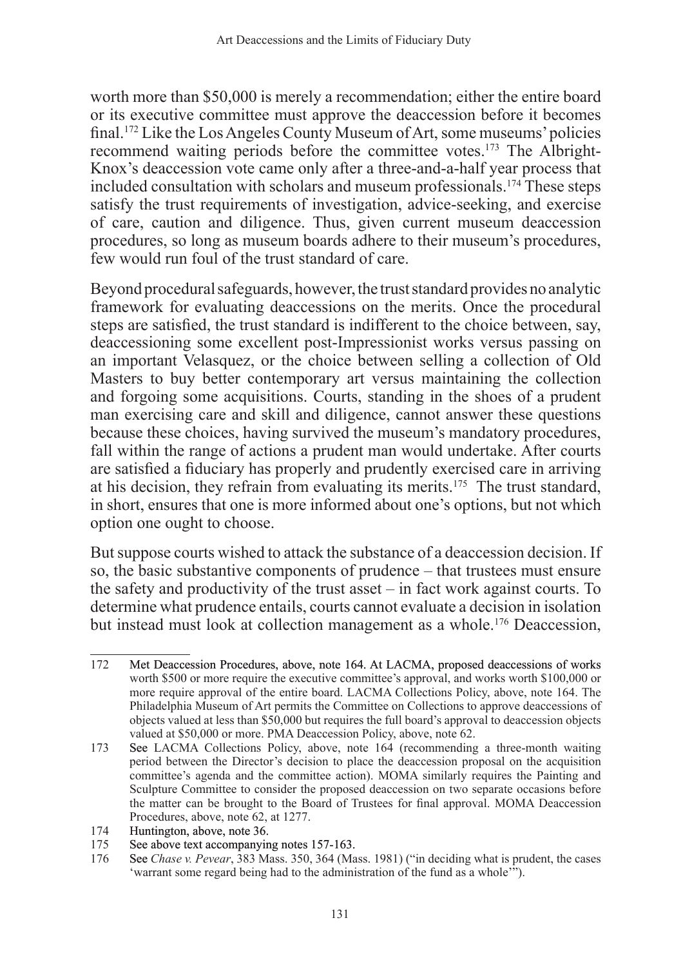worth more than \$50,000 is merely a recommendation; either the entire board or its executive committee must approve the deaccession before it becomes final.172 Like the Los Angeles County Museum of Art, some museums' policies recommend waiting periods before the committee votes.173 The Albright-Knox's deaccession vote came only after a three-and-a-half year process that included consultation with scholars and museum professionals.174 These steps satisfy the trust requirements of investigation, advice-seeking, and exercise of care, caution and diligence. Thus, given current museum deaccession procedures, so long as museum boards adhere to their museum's procedures, few would run foul of the trust standard of care.

Beyond procedural safeguards, however, the trust standard provides no analytic framework for evaluating deaccessions on the merits. Once the procedural steps are satisfied, the trust standard is indifferent to the choice between, say, deaccessioning some excellent post-Impressionist works versus passing on an important Velasquez, or the choice between selling a collection of Old Masters to buy better contemporary art versus maintaining the collection and forgoing some acquisitions. Courts, standing in the shoes of a prudent man exercising care and skill and diligence, cannot answer these questions because these choices, having survived the museum's mandatory procedures, fall within the range of actions a prudent man would undertake. After courts are satisfied a fiduciary has properly and prudently exercised care in arriving at his decision, they refrain from evaluating its merits.175 The trust standard, in short, ensures that one is more informed about one's options, but not which option one ought to choose.

But suppose courts wished to attack the substance of a deaccession decision. If so, the basic substantive components of prudence – that trustees must ensure the safety and productivity of the trust asset – in fact work against courts. To determine what prudence entails, courts cannot evaluate a decision in isolation but instead must look at collection management as a whole.176 Deaccession,

<sup>172</sup> Met Deaccession Procedures, above, note 164. At LACMA, proposed deaccessions of works worth \$500 or more require the executive committee's approval, and works worth \$100,000 or more require approval of the entire board. LACMA Collections Policy, above, note 164. The Philadelphia Museum of Art permits the Committee on Collections to approve deaccessions of objects valued at less than \$50,000 but requires the full board's approval to deaccession objects valued at \$50,000 or more. PMA Deaccession Policy, above, note 62.

<sup>173</sup> See LACMA Collections Policy, above, note 164 (recommending a three-month waiting period between the Director's decision to place the deaccession proposal on the acquisition committee's agenda and the committee action). MOMA similarly requires the Painting and Sculpture Committee to consider the proposed deaccession on two separate occasions before the matter can be brought to the Board of Trustees for final approval. MOMA Deaccession Procedures, above, note 62, at 1277.

<sup>174</sup> Huntington, above, note 36.<br>175 See above text accompanyin

<sup>175</sup> See above text accompanying notes 157-163.<br>176 See Chase v. Pevear, 383 Mass, 350, 364 (Ma

<sup>176</sup> See *Chase v. Pevear*, 383 Mass. 350, 364 (Mass. 1981) ("in deciding what is prudent, the cases 'warrant some regard being had to the administration of the fund as a whole<sup>"</sup>").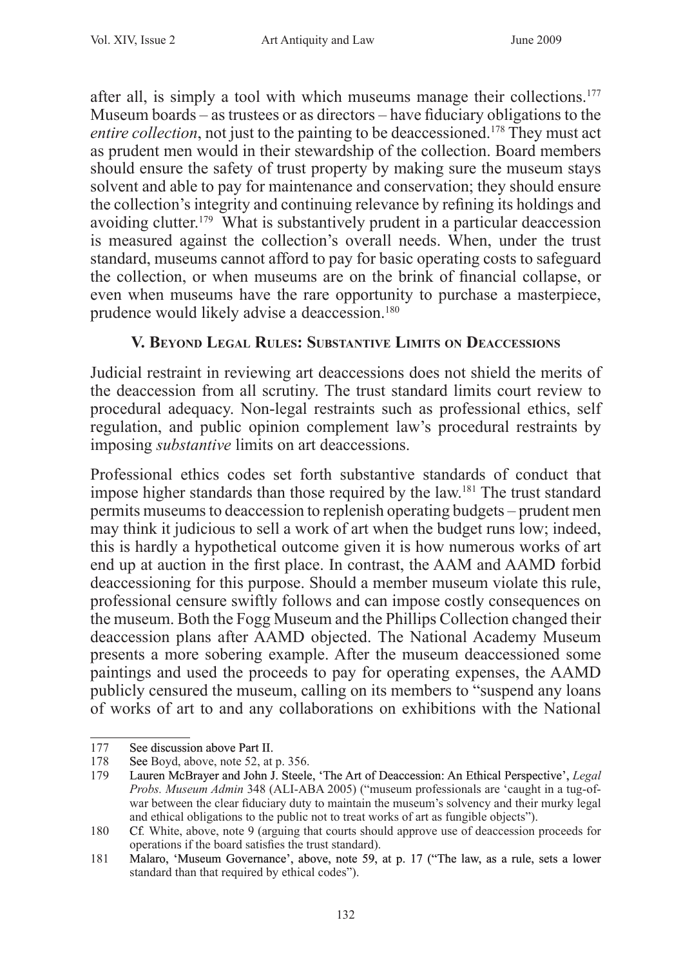after all, is simply a tool with which museums manage their collections.<sup>177</sup> Museum boards – as trustees or as directors – have fiduciary obligations to the entire collection, not just to the painting to be deaccessioned.<sup>178</sup> They must act as prudent men would in their stewardship of the collection. Board members should ensure the safety of trust property by making sure the museum stays solvent and able to pay for maintenance and conservation; they should ensure the collection's integrity and continuing relevance by refining its holdings and avoiding clutter.179 What is substantively prudent in a particular deaccession is measured against the collection's overall needs. When, under the trust standard, museums cannot afford to pay for basic operating costs to safeguard the collection, or when museums are on the brink of financial collapse, or even when museums have the rare opportunity to purchase a masterpiece, prudence would likely advise a deaccession.<sup>180</sup>

## **V. Beyond Legal Rules: Substantive Limits on Deaccessions**

Judicial restraint in reviewing art deaccessions does not shield the merits of the deaccession from all scrutiny. The trust standard limits court review to procedural adequacy. Non-legal restraints such as professional ethics, self regulation, and public opinion complement law's procedural restraints by imposing *substantive* limits on art deaccessions.

Professional ethics codes set forth substantive standards of conduct that impose higher standards than those required by the law.<sup>181</sup> The trust standard permits museums to deaccession to replenish operating budgets – prudent men may think it judicious to sell a work of art when the budget runs low; indeed, this is hardly a hypothetical outcome given it is how numerous works of art end up at auction in the first place. In contrast, the AAM and AAMD forbid deaccessioning for this purpose. Should a member museum violate this rule, professional censure swiftly follows and can impose costly consequences on the museum. Both the Fogg Museum and the Phillips Collection changed their deaccession plans after AAMD objected. The National Academy Museum presents a more sobering example. After the museum deaccessioned some paintings and used the proceeds to pay for operating expenses, the AAMD publicly censured the museum, calling on its members to "suspend any loans of works of art to and any collaborations on exhibitions with the National

<sup>177</sup> See discussion above Part II.<br>178 See Boyd, above, note 52, at

<sup>178</sup> See Boyd, above, note 52, at p. 356.<br>179 Lauren McBrayer and John J. Steele

<sup>179</sup> Lauren McBrayer and John J. Steele, �The Art of Deaccession: An Ethical Perspective', *Legal Probs. Museum Admin* 348 (ALI-ABA 2005) ("museum professionals are 'caught in a tug-ofwar between the clear fiduciary duty to maintain the museum's solvency and their murky legal and ethical obligations to the public not to treat works of art as fungible objects").

<sup>180</sup> Cf*.* White, above, note 9 (arguing that courts should approve use of deaccession proceeds for operations if the board satisfies the trust standard).

<sup>181</sup> Malaro, 'Museum Governance', above, note 59, at p. 17 ("The law, as a rule, sets a lower standard than that required by ethical codes").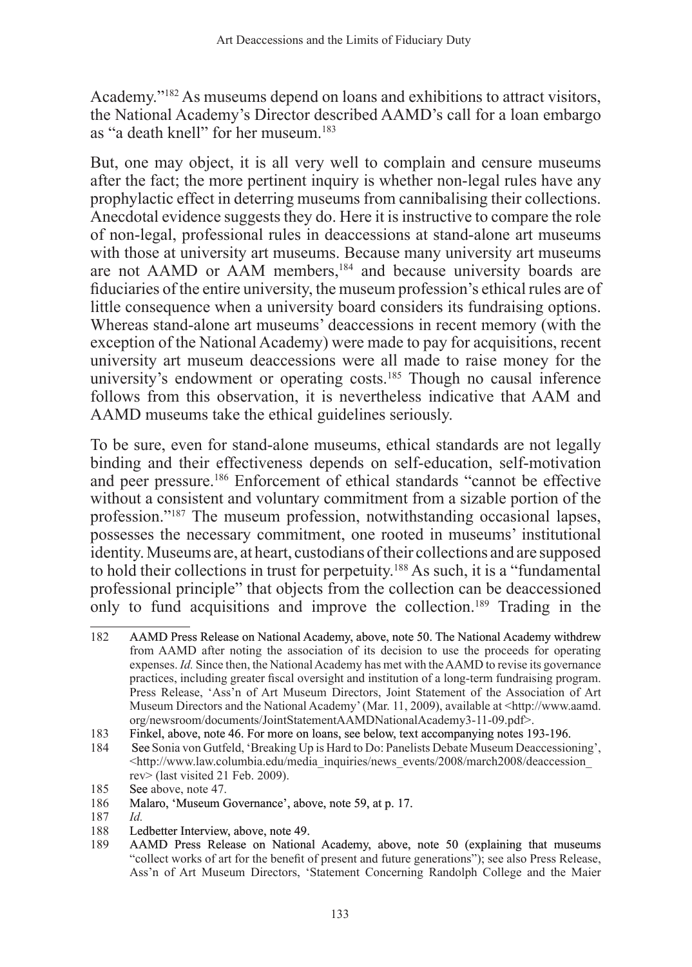Academy."<sup>182</sup> As museums depend on loans and exhibitions to attract visitors, the National Academy's Director described AAMD's call for a loan embargo as "a death knell" for her museum.<sup>183</sup>

But, one may object, it is all very well to complain and censure museums after the fact; the more pertinent inquiry is whether non-legal rules have any prophylactic effect in deterring museums from cannibalising their collections. Anecdotal evidence suggests they do. Here it is instructive to compare the role of non-legal, professional rules in deaccessions at stand-alone art museums with those at university art museums. Because many university art museums are not AAMD or AAM members,<sup>184</sup> and because university boards are fiduciaries of the entire university, the museum profession's ethical rules are of little consequence when a university board considers its fundraising options. Whereas stand-alone art museums' deaccessions in recent memory (with the exception of the National Academy) were made to pay for acquisitions, recent university art museum deaccessions were all made to raise money for the university's endowment or operating costs.<sup>185</sup> Though no causal inference follows from this observation, it is nevertheless indicative that AAM and AAMD museums take the ethical guidelines seriously.

To be sure, even for stand-alone museums, ethical standards are not legally binding and their effectiveness depends on self-education, self-motivation and peer pressure.<sup>186</sup> Enforcement of ethical standards "cannot be effective without a consistent and voluntary commitment from a sizable portion of the profession."187 The museum profession, notwithstanding occasional lapses, possesses the necessary commitment, one rooted in museums' institutional identity. Museums are, at heart, custodians of their collections and are supposed to hold their collections in trust for perpetuity.188 As such, it is a "fundamental professional principle" that objects from the collection can be deaccessioned only to fund acquisitions and improve the collection.<sup>189</sup> Trading in the

<sup>182</sup> AAMD Press Release on National Academy, above, note 50. The National Academy withdrew from AAMD after noting the association of its decision to use the proceeds for operating expenses. *Id.* Since then, the National Academy has met with the AAMD to revise its governance practices, including greater fiscal oversight and institution of a long-term fundraising program. Press Release, 'Ass'n of Art Museum Directors, Joint Statement of the Association of Art Museum Directors and the National Academy' (Mar. 11, 2009), available at <http://www.aamd. org/newsroom/documents/JointStatementAAMDNationalAcademy3-11-09.pdf>.

<sup>183</sup> Finkel, above, note 46. For more on loans, see below, text accompanying notes 193-196.

<sup>184</sup> See Sonia von Gutfeld, 'Breaking Up is Hard to Do: Panelists Debate Museum Deaccessioning', <http://www.law.columbia.edu/media\_inquiries/news\_events/2008/march2008/deaccession\_ rev> (last visited 21 Feb. 2009).

<sup>185</sup> See above, note 47.

<sup>186</sup> Malaro, 'Museum Governance', above, note 59, at p. 17.

<sup>187</sup> *Id.*

<sup>188</sup> Ledbetter Interview, above, note 49.<br>189 AAMD Press Release on National

AAMD Press Release on National Academy, above, note 50 (explaining that museums "collect works of art for the benefit of present and future generations"); see also Press Release, Ass'n of Art Museum Directors, 'Statement Concerning Randolph College and the Maier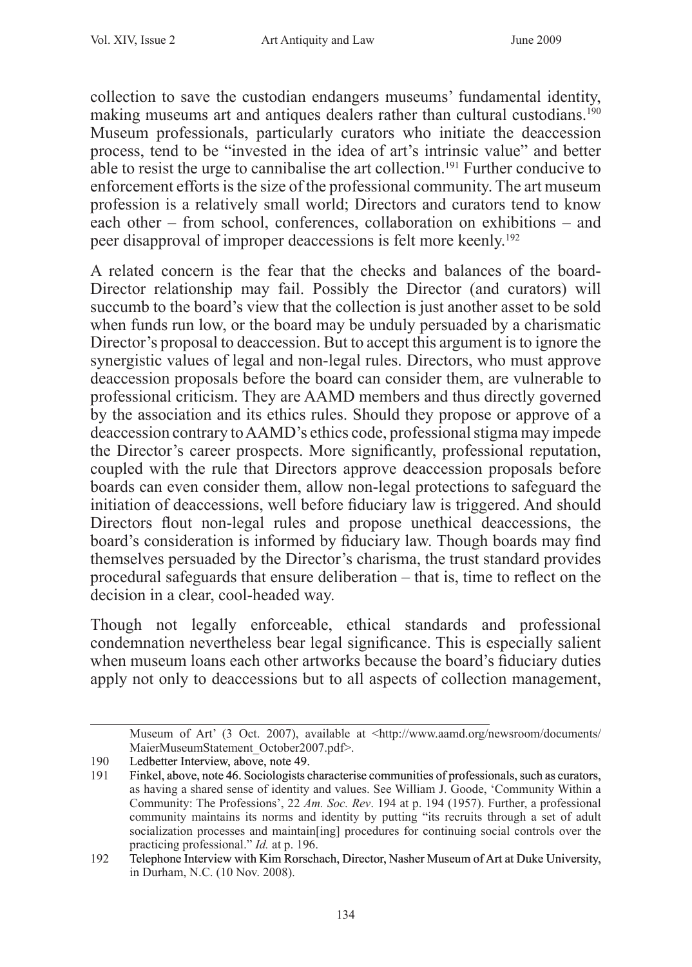collection to save the custodian endangers museums' fundamental identity, making museums art and antiques dealers rather than cultural custodians.<sup>190</sup> Museum professionals, particularly curators who initiate the deaccession process, tend to be "invested in the idea of art's intrinsic value" and better able to resist the urge to cannibalise the art collection.<sup>191</sup> Further conducive to enforcement efforts is the size of the professional community. The art museum profession is a relatively small world; Directors and curators tend to know each other – from school, conferences, collaboration on exhibitions – and peer disapproval of improper deaccessions is felt more keenly.192

A related concern is the fear that the checks and balances of the board-Director relationship may fail. Possibly the Director (and curators) will succumb to the board's view that the collection is just another asset to be sold when funds run low, or the board may be unduly persuaded by a charismatic Director's proposal to deaccession. But to accept this argument is to ignore the synergistic values of legal and non-legal rules. Directors, who must approve deaccession proposals before the board can consider them, are vulnerable to professional criticism. They are AAMD members and thus directly governed by the association and its ethics rules. Should they propose or approve of a deaccession contrary to AAMD's ethics code, professional stigma may impede the Director's career prospects. More significantly, professional reputation, coupled with the rule that Directors approve deaccession proposals before boards can even consider them, allow non-legal protections to safeguard the initiation of deaccessions, well before fiduciary law is triggered. And should Directors flout non-legal rules and propose unethical deaccessions, the board's consideration is informed by fiduciary law. Though boards may find themselves persuaded by the Director's charisma, the trust standard provides procedural safeguards that ensure deliberation – that is, time to reflect on the decision in a clear, cool-headed way.

Though not legally enforceable, ethical standards and professional condemnation nevertheless bear legal significance. This is especially salient when museum loans each other artworks because the board's fiduciary duties apply not only to deaccessions but to all aspects of collection management,

Museum of Art' (3 Oct. 2007), available at <http://www.aamd.org/newsroom/documents/ MaierMuseumStatement\_October2007.pdf>.

<sup>190</sup> Ledbetter Interview, above, note 49.<br>191 Finkel, above, note 46. Sociologists c

<sup>191</sup> Finkel, above, note 46. Sociologists characterise communities of professionals, such as curators, as having a shared sense of identity and values. See William J. Goode, 'Community Within a Community: The Professions', 22 *Am. Soc. Rev*. 194 at p. 194 (1957). Further, a professional community maintains its norms and identity by putting "its recruits through a set of adult socialization processes and maintain[ing] procedures for continuing social controls over the practicing professional." *Id.* at p. 196.

<sup>192</sup> Telephone Interview with Kim Rorschach, Director, Nasher Museum of Art at Duke University, in Durham, N.C. (10 Nov. 2008).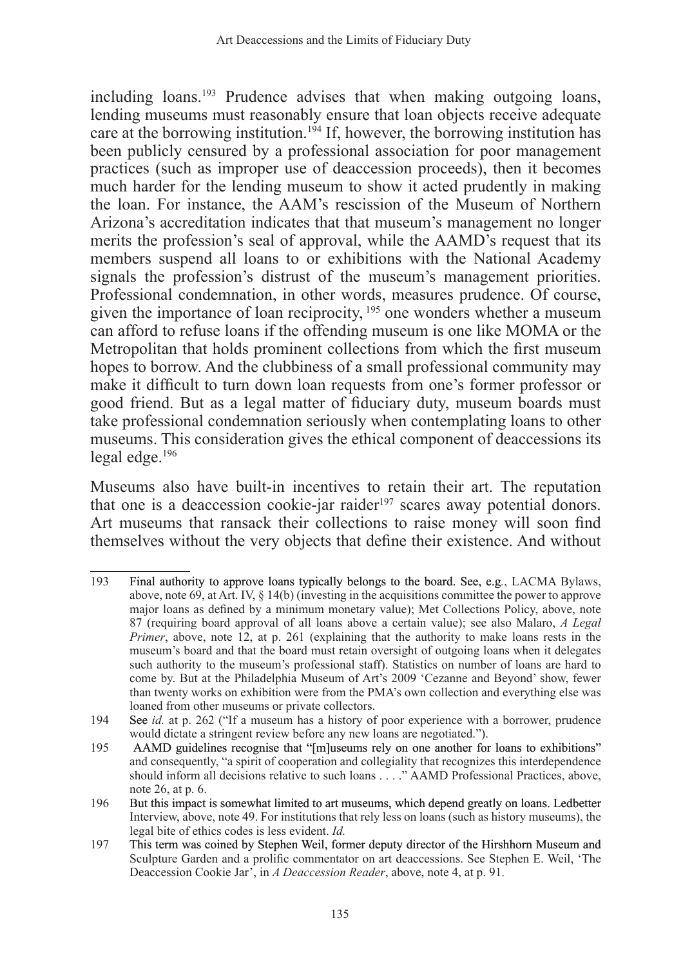including loans.193 Prudence advises that when making outgoing loans, lending museums must reasonably ensure that loan objects receive adequate care at the borrowing institution.<sup>194</sup> If, however, the borrowing institution has been publicly censured by a professional association for poor management practices (such as improper use of deaccession proceeds), then it becomes much harder for the lending museum to show it acted prudently in making the loan. For instance, the AAM's rescission of the Museum of Northern Arizona's accreditation indicates that that museum's management no longer merits the profession's seal of approval, while the AAMD's request that its members suspend all loans to or exhibitions with the National Academy signals the profession's distrust of the museum's management priorities. Professional condemnation, in other words, measures prudence. Of course, given the importance of loan reciprocity,<sup>195</sup> one wonders whether a museum can afford to refuse loans if the offending museum is one like MOMA or the Metropolitan that holds prominent collections from which the first museum hopes to borrow. And the clubbiness of a small professional community may make it difficult to turn down loan requests from one's former professor or good friend. But as a legal matter of fiduciary duty, museum boards must take professional condemnation seriously when contemplating loans to other museums. This consideration gives the ethical component of deaccessions its legal edge.196

Museums also have built-in incentives to retain their art. The reputation that one is a deaccession cookie-jar raider<sup>197</sup> scares away potential donors. Art museums that ransack their collections to raise money will soon find themselves without the very objects that define their existence. And without

<sup>193</sup> Final authority to approve loans typically belongs to the board. See, e.g*.*, LACMA Bylaws, above, note 69, at Art. IV, § 14(b) (investing in the acquisitions committee the power to approve major loans as defined by a minimum monetary value); Met Collections Policy, above, note 87 (requiring board approval of all loans above a certain value); see also Malaro, *A Legal Primer*, above, note 12, at p. 261 (explaining that the authority to make loans rests in the museum's board and that the board must retain oversight of outgoing loans when it delegates such authority to the museum's professional staff). Statistics on number of loans are hard to come by. But at the Philadelphia Museum of Art's 2009 'Cezanne and Beyond' show, fewer than twenty works on exhibition were from the PMA's own collection and everything else was loaned from other museums or private collectors.

<sup>194</sup> See *id.* at p. 262 ("If a museum has a history of poor experience with a borrower, prudence would dictate a stringent review before any new loans are negotiated.").

<sup>195</sup> AAMD guidelines recognise that "[m]useums rely on one another for loans to exhibitions" and consequently, "a spirit of cooperation and collegiality that recognizes this interdependence should inform all decisions relative to such loans . . . ." AAMD Professional Practices, above, note 26, at p. 6.

<sup>196</sup> But this impact is somewhat limited to art museums, which depend greatly on loans. Ledbetter Interview, above, note 49. For institutions that rely less on loans (such as history museums), the legal bite of ethics codes is less evident. *Id.*

<sup>197</sup> This term was coined by Stephen Weil, former deputy director of the Hirshhorn Museum and Sculpture Garden and a prolific commentator on art deaccessions. See Stephen E. Weil, 'The Deaccession Cookie Jar', in *A Deaccession Reader*, above, note 4, at p. 91.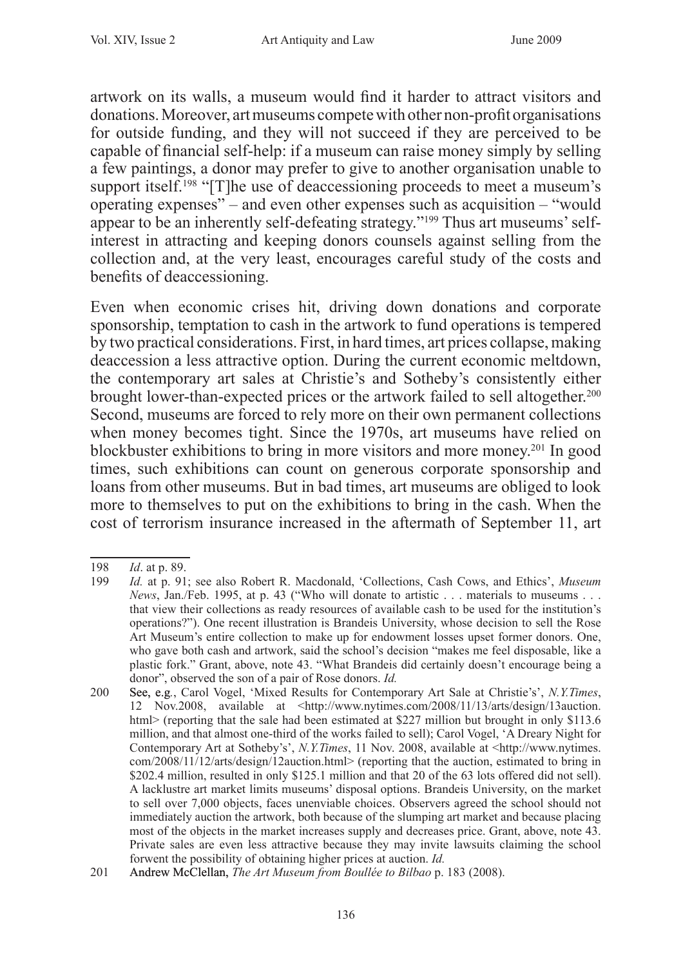artwork on its walls, a museum would find it harder to attract visitors and donations. Moreover, art museums compete with other non-profit organisations for outside funding, and they will not succeed if they are perceived to be capable of financial self-help: if a museum can raise money simply by selling a few paintings, a donor may prefer to give to another organisation unable to support itself.<sup>198</sup> "[T]he use of deaccessioning proceeds to meet a museum's operating expenses" – and even other expenses such as acquisition – "would appear to be an inherently self-defeating strategy."199 Thus art museums' selfinterest in attracting and keeping donors counsels against selling from the collection and, at the very least, encourages careful study of the costs and benefits of deaccessioning.

Even when economic crises hit, driving down donations and corporate sponsorship, temptation to cash in the artwork to fund operations is tempered by two practical considerations. First, in hard times, art prices collapse, making deaccession a less attractive option. During the current economic meltdown, the contemporary art sales at Christie's and Sotheby's consistently either brought lower-than-expected prices or the artwork failed to sell altogether.<sup>200</sup> Second, museums are forced to rely more on their own permanent collections when money becomes tight. Since the 1970s, art museums have relied on blockbuster exhibitions to bring in more visitors and more money.201 In good times, such exhibitions can count on generous corporate sponsorship and loans from other museums. But in bad times, art museums are obliged to look more to themselves to put on the exhibitions to bring in the cash. When the cost of terrorism insurance increased in the aftermath of September 11, art

<sup>198</sup> *Id*. at p. 89.

*Id.* at p. 91; see also Robert R. Macdonald, 'Collections, Cash Cows, and Ethics', *Museum News*, Jan./Feb. 1995, at p. 43 ("Who will donate to artistic . . . materials to museums . . . that view their collections as ready resources of available cash to be used for the institution's operations?"). One recent illustration is Brandeis University, whose decision to sell the Rose Art Museum's entire collection to make up for endowment losses upset former donors. One, who gave both cash and artwork, said the school's decision "makes me feel disposable, like a plastic fork." Grant, above, note 43. "What Brandeis did certainly doesn't encourage being a donor", observed the son of a pair of Rose donors. *Id.*

<sup>200</sup> See, e.g*.*, Carol Vogel, 'Mixed Results for Contemporary Art Sale at Christie's', *N.Y.Times*, 12 Nov.2008, available at <http://www.nytimes.com/2008/11/13/arts/design/13auction. html> (reporting that the sale had been estimated at \$227 million but brought in only \$113.6 million, and that almost one-third of the works failed to sell); Carol Vogel, 'A Dreary Night for Contemporary Art at Sotheby's', *N.Y.Times*, 11 Nov. 2008, available at <http://www.nytimes. com/2008/11/12/arts/design/12auction.html> (reporting that the auction, estimated to bring in \$202.4 million, resulted in only \$125.1 million and that 20 of the 63 lots offered did not sell). A lacklustre art market limits museums' disposal options. Brandeis University, on the market to sell over 7,000 objects, faces unenviable choices. Observers agreed the school should not immediately auction the artwork, both because of the slumping art market and because placing most of the objects in the market increases supply and decreases price. Grant, above, note 43. Private sales are even less attractive because they may invite lawsuits claiming the school forwent the possibility of obtaining higher prices at auction. *Id.*

<sup>201</sup> Andrew McClellan, *The Art Museum from Boullée to Bilbao* p. 183 (2008).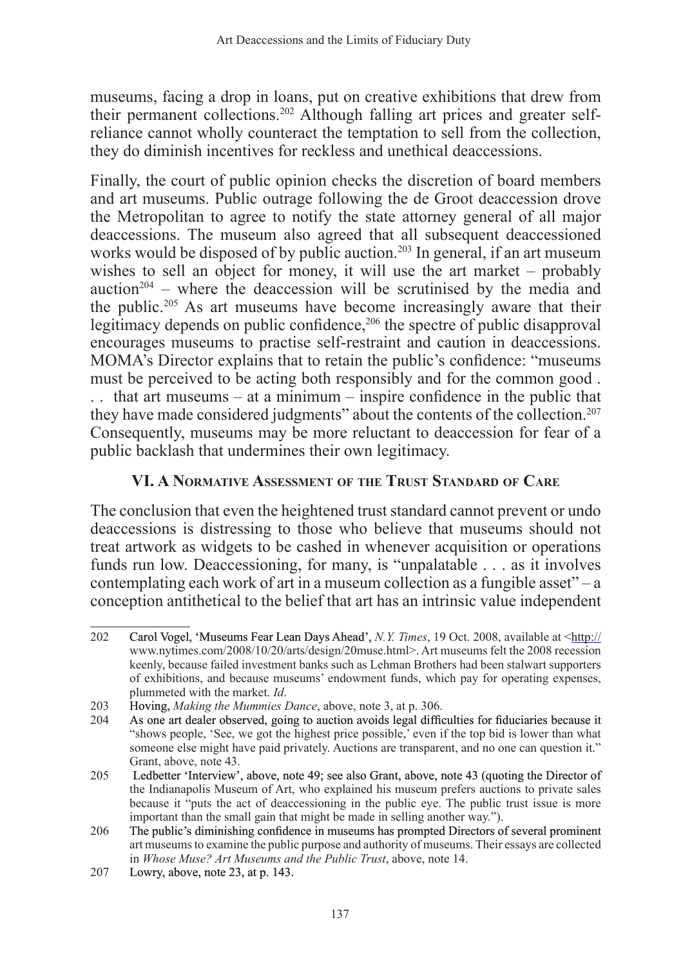museums, facing a drop in loans, put on creative exhibitions that drew from their permanent collections.202 Although falling art prices and greater selfreliance cannot wholly counteract the temptation to sell from the collection, they do diminish incentives for reckless and unethical deaccessions.

Finally, the court of public opinion checks the discretion of board members and art museums. Public outrage following the de Groot deaccession drove the Metropolitan to agree to notify the state attorney general of all major deaccessions. The museum also agreed that all subsequent deaccessioned works would be disposed of by public auction.<sup>203</sup> In general, if an art museum wishes to sell an object for money, it will use the art market – probably auction<sup>204</sup> – where the deaccession will be scrutinised by the media and the public.205 As art museums have become increasingly aware that their legitimacy depends on public confidence,<sup>206</sup> the spectre of public disapproval encourages museums to practise self-restraint and caution in deaccessions. MOMA's Director explains that to retain the public's confidence: "museums must be perceived to be acting both responsibly and for the common good .

. . that art museums – at a minimum – inspire confidence in the public that they have made considered judgments" about the contents of the collection.<sup>207</sup> Consequently, museums may be more reluctant to deaccession for fear of a public backlash that undermines their own legitimacy.

#### **VI. A Normative Assessment of the Trust Standard of Care**

The conclusion that even the heightened trust standard cannot prevent or undo deaccessions is distressing to those who believe that museums should not treat artwork as widgets to be cashed in whenever acquisition or operations funds run low. Deaccessioning, for many, is "unpalatable . . . as it involves contemplating each work of art in a museum collection as a fungible asset" – a conception antithetical to the belief that art has an intrinsic value independent

<sup>202</sup> Carol Vogel, �Museums Fear Lean Days Ahead', *N.Y. Times*, 19 Oct. 2008, available at <http:// www.nytimes.com/2008/10/20/arts/design/20muse.html>. Art museums felt the 2008 recession keenly, because failed investment banks such as Lehman Brothers had been stalwart supporters of exhibitions, and because museums' endowment funds, which pay for operating expenses, plummeted with the market. *Id*.

<sup>203</sup> **Hoving,** *Making the Mummies Dance*, above, note 3, at p. 306.<br>204 As one art dealer observed going to auction avoids legal diffic

As one art dealer observed, going to auction avoids legal difficulties for fiduciaries because it "shows people, 'See, we got the highest price possible,' even if the top bid is lower than what someone else might have paid privately. Auctions are transparent, and no one can question it." Grant, above, note 43.

<sup>205</sup> Ledbetter 'Interview', above, note 49; see also Grant, above, note 43 (quoting the Director of the Indianapolis Museum of Art, who explained his museum prefers auctions to private sales because it "puts the act of deaccessioning in the public eye. The public trust issue is more important than the small gain that might be made in selling another way.").

<sup>206</sup> The public's diminishing confidence in museums has prompted Directors of several prominent art museums to examine the public purpose and authority of museums. Their essays are collected in *Whose Muse? Art Museums and the Public Trust*, above, note 14.

<sup>207</sup> Lowry, above, note 23, at p. 143.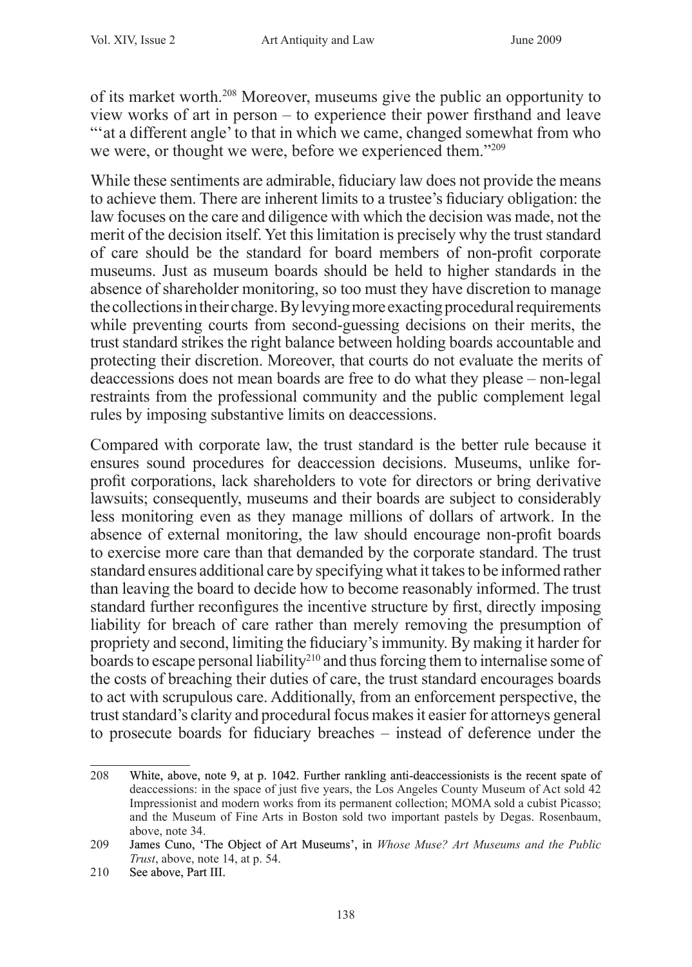of its market worth.<sup>208</sup> Moreover, museums give the public an opportunity to view works of art in person – to experience their power firsthand and leave "" at a different angle" to that in which we came, changed somewhat from who we were, or thought we were, before we experienced them."209

While these sentiments are admirable, fiduciary law does not provide the means to achieve them. There are inherent limits to a trustee's fiduciary obligation: the law focuses on the care and diligence with which the decision was made, not the merit of the decision itself. Yet this limitation is precisely why the trust standard of care should be the standard for board members of non-profit corporate museums. Just as museum boards should be held to higher standards in the absence of shareholder monitoring, so too must they have discretion to manage the collections in their charge. By levying more exacting procedural requirements while preventing courts from second-guessing decisions on their merits, the trust standard strikes the right balance between holding boards accountable and protecting their discretion. Moreover, that courts do not evaluate the merits of deaccessions does not mean boards are free to do what they please – non-legal restraints from the professional community and the public complement legal rules by imposing substantive limits on deaccessions.

Compared with corporate law, the trust standard is the better rule because it ensures sound procedures for deaccession decisions. Museums, unlike forprofit corporations, lack shareholders to vote for directors or bring derivative lawsuits; consequently, museums and their boards are subject to considerably less monitoring even as they manage millions of dollars of artwork. In the absence of external monitoring, the law should encourage non-profit boards to exercise more care than that demanded by the corporate standard. The trust standard ensures additional care by specifying what it takes to be informed rather than leaving the board to decide how to become reasonably informed. The trust standard further reconfigures the incentive structure by first, directly imposing liability for breach of care rather than merely removing the presumption of propriety and second, limiting the fiduciary's immunity. By making it harder for boards to escape personal liability<sup>210</sup> and thus forcing them to internalise some of the costs of breaching their duties of care, the trust standard encourages boards to act with scrupulous care. Additionally, from an enforcement perspective, the trust standard's clarity and procedural focus makes it easier for attorneys general to prosecute boards for fiduciary breaches – instead of deference under the

<sup>208</sup> White, above, note 9, at p. 1042. Further rankling anti-deaccessionists is the recent spate of deaccessions: in the space of just five years, the Los Angeles County Museum of Act sold 42 Impressionist and modern works from its permanent collection; MOMA sold a cubist Picasso; and the Museum of Fine Arts in Boston sold two important pastels by Degas. Rosenbaum, above, note 34.

<sup>209</sup> James Cuno, �The Object of Art Museums', in *Whose Muse? Art Museums and the Public Trust*, above, note 14, at p. 54.

<sup>210</sup> See above, Part III.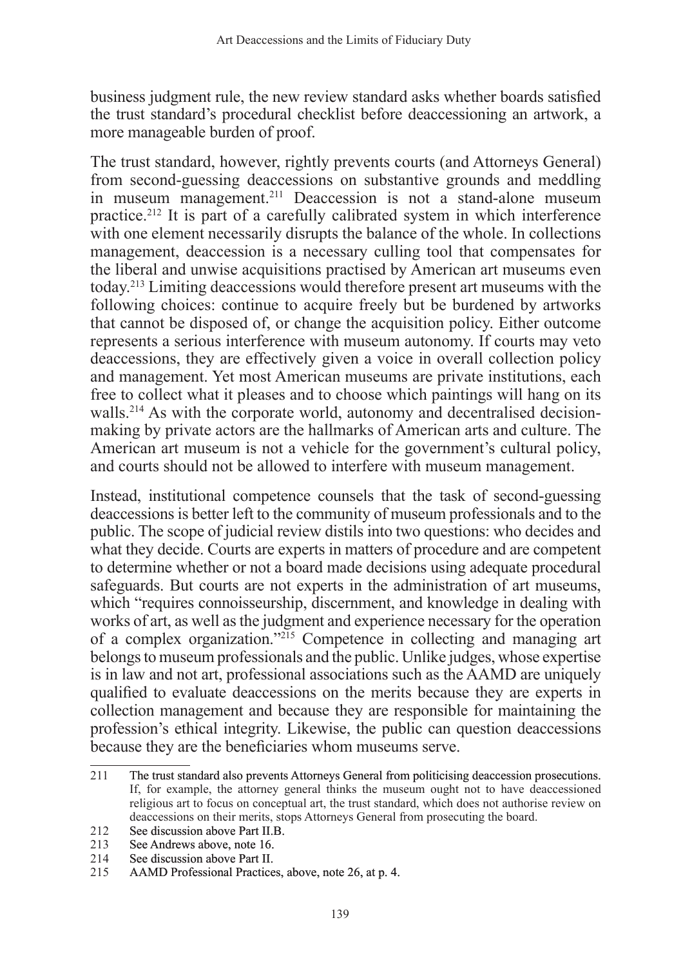business judgment rule, the new review standard asks whether boards satisfied the trust standard's procedural checklist before deaccessioning an artwork, a more manageable burden of proof.

The trust standard, however, rightly prevents courts (and Attorneys General) from second-guessing deaccessions on substantive grounds and meddling in museum management.<sup>211</sup> Deaccession is not a stand-alone museum practice.212 It is part of a carefully calibrated system in which interference with one element necessarily disrupts the balance of the whole. In collections management, deaccession is a necessary culling tool that compensates for the liberal and unwise acquisitions practised by American art museums even today.213 Limiting deaccessions would therefore present art museums with the following choices: continue to acquire freely but be burdened by artworks that cannot be disposed of, or change the acquisition policy. Either outcome represents a serious interference with museum autonomy. If courts may veto deaccessions, they are effectively given a voice in overall collection policy and management. Yet most American museums are private institutions, each free to collect what it pleases and to choose which paintings will hang on its walls.<sup>214</sup> As with the corporate world, autonomy and decentralised decisionmaking by private actors are the hallmarks of American arts and culture. The American art museum is not a vehicle for the government's cultural policy, and courts should not be allowed to interfere with museum management.

Instead, institutional competence counsels that the task of second-guessing deaccessions is better left to the community of museum professionals and to the public. The scope of judicial review distils into two questions: who decides and what they decide. Courts are experts in matters of procedure and are competent to determine whether or not a board made decisions using adequate procedural safeguards. But courts are not experts in the administration of art museums, which "requires connoisseurship, discernment, and knowledge in dealing with works of art, as well as the judgment and experience necessary for the operation of a complex organization."215 Competence in collecting and managing art belongs to museum professionals and the public. Unlike judges, whose expertise is in law and not art, professional associations such as the AAMD are uniquely qualified to evaluate deaccessions on the merits because they are experts in collection management and because they are responsible for maintaining the profession's ethical integrity. Likewise, the public can question deaccessions because they are the beneficiaries whom museums serve.

<sup>211</sup> The trust standard also prevents Attorneys General from politicising deaccession prosecutions. If, for example, the attorney general thinks the museum ought not to have deaccessioned religious art to focus on conceptual art, the trust standard, which does not authorise review on deaccessions on their merits, stops Attorneys General from prosecuting the board.

<sup>212</sup> See discussion above Part II.B.<br>213 See Andrews above note 16

<sup>213</sup> See Andrews above, note 16.<br>214 See discussion above Part II

<sup>214</sup> See discussion above Part II.<br>215 AAMD Professional Practice

AAMD Professional Practices, above, note 26, at p. 4.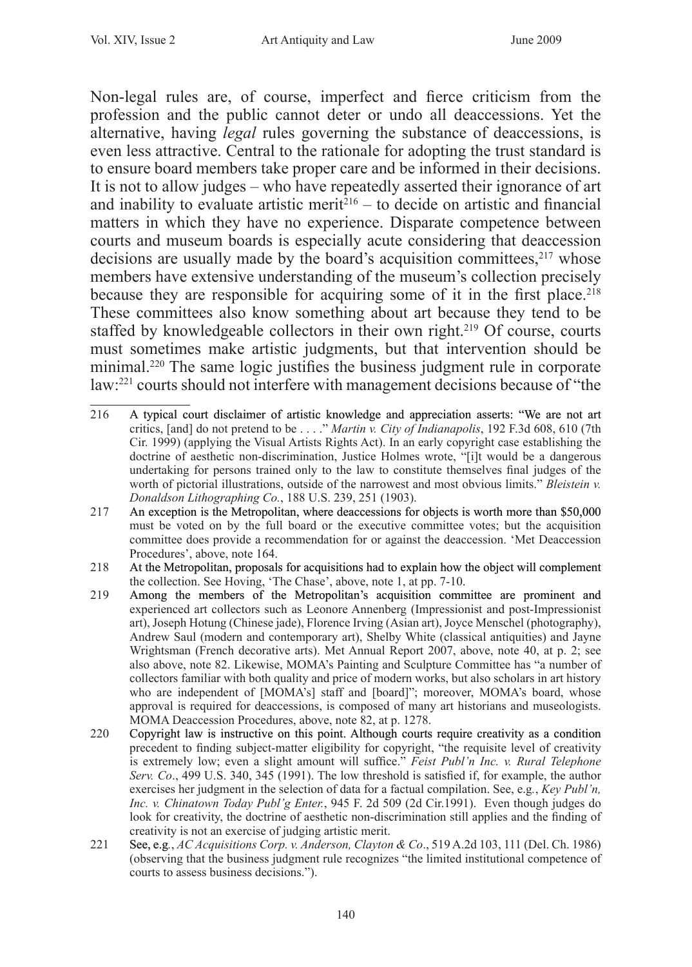Non-legal rules are, of course, imperfect and fierce criticism from the profession and the public cannot deter or undo all deaccessions. Yet the alternative, having *legal* rules governing the substance of deaccessions, is even less attractive. Central to the rationale for adopting the trust standard is to ensure board members take proper care and be informed in their decisions. It is not to allow judges – who have repeatedly asserted their ignorance of art and inability to evaluate artistic merit $216 -$  to decide on artistic and financial matters in which they have no experience. Disparate competence between courts and museum boards is especially acute considering that deaccession decisions are usually made by the board's acquisition committees, <sup>217</sup> whose members have extensive understanding of the museum's collection precisely because they are responsible for acquiring some of it in the first place.<sup>218</sup> These committees also know something about art because they tend to be staffed by knowledgeable collectors in their own right.<sup>219</sup> Of course, courts must sometimes make artistic judgments, but that intervention should be minimal.<sup>220</sup> The same logic justifies the business judgment rule in corporate law:221 courts should not interfere with management decisions because of "the

- 216 A typical court disclaimer of artistic knowledge and appreciation asserts: "We are not art critics, [and] do not pretend to be . . . ." *Martin v. City of Indianapolis*, 192 F.3d 608, 610 (7th Cir. 1999) (applying the Visual Artists Rights Act). In an early copyright case establishing the doctrine of aesthetic non-discrimination, Justice Holmes wrote, "[i]t would be a dangerous undertaking for persons trained only to the law to constitute themselves final judges of the worth of pictorial illustrations, outside of the narrowest and most obvious limits." *Bleistein v. Donaldson Lithographing Co.*, 188 U.S. 239, 251 (1903).
- 217 An exception is the Metropolitan, where deaccessions for objects is worth more than \$50,000 must be voted on by the full board or the executive committee votes; but the acquisition committee does provide a recommendation for or against the deaccession. 'Met Deaccession Procedures', above, note 164.
- 218 At the Metropolitan, proposals for acquisitions had to explain how the object will complement the collection. See Hoving, 'The Chase', above, note 1, at pp. 7-10.
- 219 Among the members of the Metropolitan's acquisition committee are prominent and experienced art collectors such as Leonore Annenberg (Impressionist and post-Impressionist art), Joseph Hotung (Chinese jade), Florence Irving (Asian art), Joyce Menschel (photography), Andrew Saul (modern and contemporary art), Shelby White (classical antiquities) and Jayne Wrightsman (French decorative arts). Met Annual Report 2007, above, note 40, at p. 2; see also above, note 82. Likewise, MOMA's Painting and Sculpture Committee has "a number of collectors familiar with both quality and price of modern works, but also scholars in art history who are independent of [MOMA's] staff and [board]"; moreover, MOMA's board, whose approval is required for deaccessions, is composed of many art historians and museologists. MOMA Deaccession Procedures, above, note 82, at p. 1278.
- 220 Copyright law is instructive on this point. Although courts require creativity as a condition precedent to finding subject-matter eligibility for copyright, "the requisite level of creativity is extremely low; even a slight amount will suffice." *Feist Publ'n Inc. v. Rural Telephone Serv. Co*., 499 U.S. 340, 345 (1991). The low threshold is satisfied if, for example, the author exercises her judgment in the selection of data for a factual compilation. See, e.g*.*, *Key Publ'n, Inc. v. Chinatown Today Publ'g Enter.*, 945 F. 2d 509 (2d Cir.1991). Even though judges do look for creativity, the doctrine of aesthetic non-discrimination still applies and the finding of creativity is not an exercise of judging artistic merit.
- 221 See, e.g*.*, *AC Acquisitions Corp. v. Anderson, Clayton & Co*., 519 A.2d 103, 111 (Del. Ch. 1986) (observing that the business judgment rule recognizes "the limited institutional competence of courts to assess business decisions.").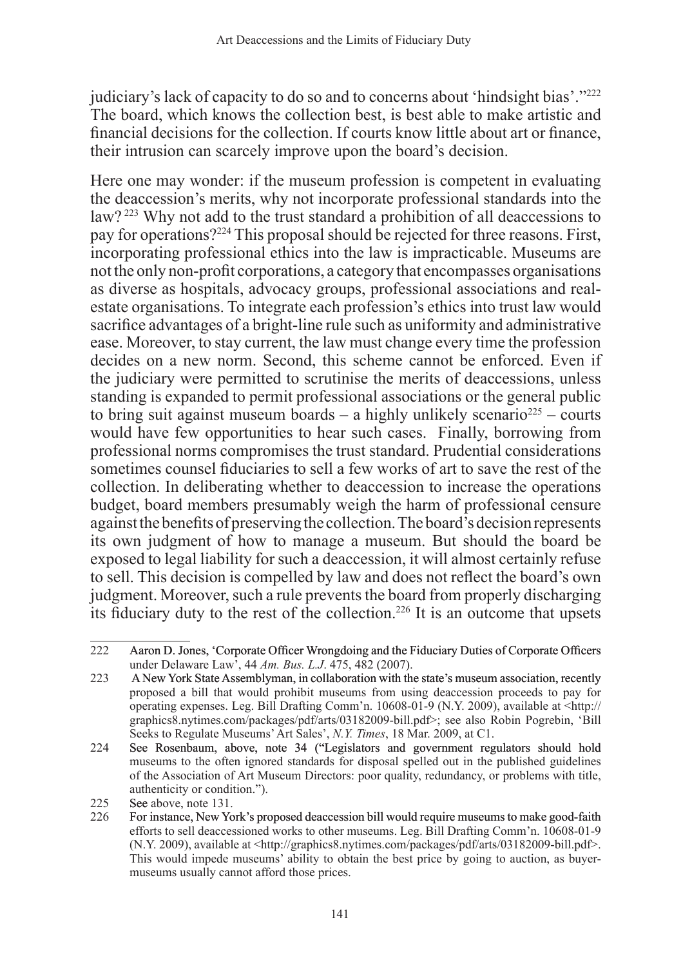judiciary's lack of capacity to do so and to concerns about 'hindsight bias'."<sup>222</sup> The board, which knows the collection best, is best able to make artistic and financial decisions for the collection. If courts know little about art or finance, their intrusion can scarcely improve upon the board's decision.

Here one may wonder: if the museum profession is competent in evaluating the deaccession's merits, why not incorporate professional standards into the law? 223 Why not add to the trust standard a prohibition of all deaccessions to pay for operations?224 This proposal should be rejected for three reasons. First, incorporating professional ethics into the law is impracticable. Museums are not the only non-profit corporations, a category that encompasses organisations as diverse as hospitals, advocacy groups, professional associations and realestate organisations. To integrate each profession's ethics into trust law would sacrifice advantages of a bright-line rule such as uniformity and administrative ease. Moreover, to stay current, the law must change every time the profession decides on a new norm. Second, this scheme cannot be enforced. Even if the judiciary were permitted to scrutinise the merits of deaccessions, unless standing is expanded to permit professional associations or the general public to bring suit against museum boards – a highly unlikely scenario<sup>225</sup> – courts would have few opportunities to hear such cases. Finally, borrowing from professional norms compromises the trust standard. Prudential considerations sometimes counsel fiduciaries to sell a few works of art to save the rest of the collection. In deliberating whether to deaccession to increase the operations budget, board members presumably weigh the harm of professional censure against the benefits of preserving the collection. The board's decision represents its own judgment of how to manage a museum. But should the board be exposed to legal liability for such a deaccession, it will almost certainly refuse to sell. This decision is compelled by law and does not reflect the board's own judgment. Moreover, such a rule prevents the board from properly discharging its fiduciary duty to the rest of the collection.226 It is an outcome that upsets

<sup>222</sup> Aaron D. Jones, �Corporate Officer Wrongdoing and the Fiduciary Duties of Corporate Officers under Delaware Law', 44 *Am. Bus. L.J*. 475, 482 (2007).

<sup>223</sup> A New York State Assemblyman, in collaboration with the state's museum association, recently proposed a bill that would prohibit museums from using deaccession proceeds to pay for operating expenses. Leg. Bill Drafting Comm'n. 10608-01-9 (N.Y. 2009), available at <http:// graphics8.nytimes.com/packages/pdf/arts/03182009-bill.pdf>; see also Robin Pogrebin, 'Bill Seeks to Regulate Museums' Art Sales', *N.Y. Times*, 18 Mar. 2009, at C1.

<sup>224</sup> See Rosenbaum, above, note 34 ("Legislators and government regulators should hold museums to the often ignored standards for disposal spelled out in the published guidelines of the Association of Art Museum Directors: poor quality, redundancy, or problems with title, authenticity or condition.").

<sup>225</sup> See above, note 131.

<sup>226</sup> For instance, New York's proposed deaccession bill would require museums to make good-faith efforts to sell deaccessioned works to other museums. Leg. Bill Drafting Comm'n. 10608-01-9 (N.Y. 2009), available at <http://graphics8.nytimes.com/packages/pdf/arts/03182009-bill.pdf>. This would impede museums' ability to obtain the best price by going to auction, as buyermuseums usually cannot afford those prices.